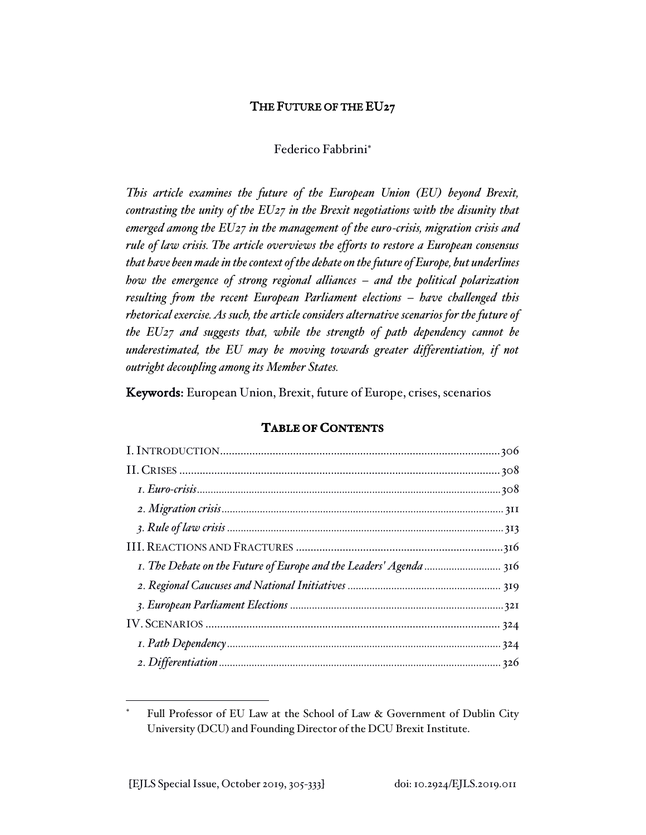# THE FUTURE OF THE EU27

# Federico Fabbrini

*This article examines the future of the European Union (EU) beyond Brexit, contrasting the unity of the EU27 in the Brexit negotiations with the disunity that emerged among the EU27 in the management of the euro-crisis, migration crisis and rule of law crisis. The article overviews the efforts to restore a European consensus that have been made in the context of the debate on the future of Europe, but underlines how the emergence of strong regional alliances – and the political polarization resulting from the recent European Parliament elections – have challenged this rhetorical exercise. As such, the article considers alternative scenarios for the future of the EU27 and suggests that, while the strength of path dependency cannot be underestimated, the EU may be moving towards greater differentiation, if not outright decoupling among its Member States.* 

Keywords: European Union, Brexit, future of Europe, crises, scenarios

# **TABLE OF CONTENTS**

Full Professor of EU Law at the School of Law & Government of Dublin City University (DCU) and Founding Director of the DCU Brexit Institute.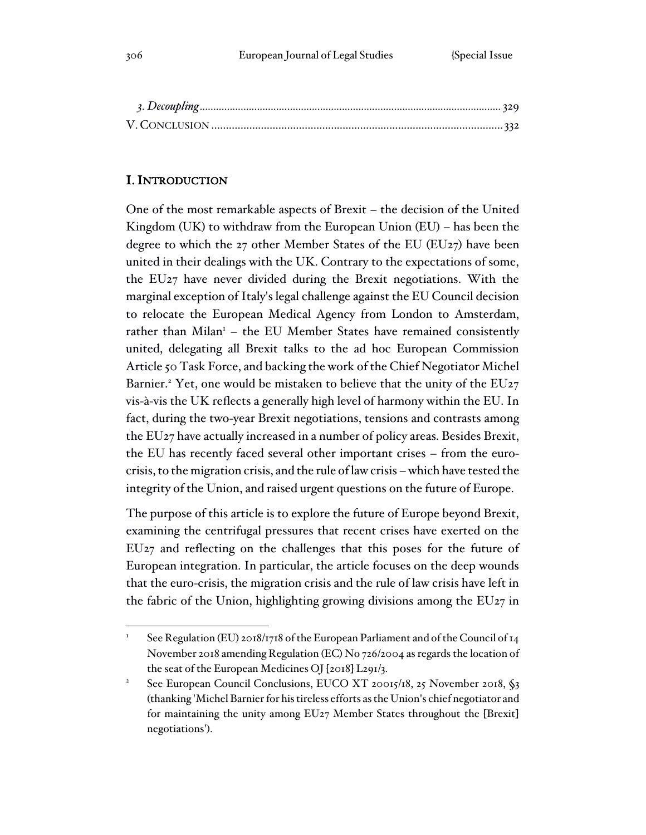# I. INTRODUCTION

One of the most remarkable aspects of Brexit – the decision of the United Kingdom (UK) to withdraw from the European Union (EU) – has been the degree to which the 27 other Member States of the EU (EU27) have been united in their dealings with the UK. Contrary to the expectations of some, the EU27 have never divided during the Brexit negotiations. With the marginal exception of Italy's legal challenge against the EU Council decision to relocate the European Medical Agency from London to Amsterdam, rather than Milan<sup>1</sup> – the EU Member States have remained consistently united, delegating all Brexit talks to the ad hoc European Commission Article 50 Task Force, and backing the work of the Chief Negotiator Michel Barnier.<sup>2</sup> Yet, one would be mistaken to believe that the unity of the EU27 vis-à-vis the UK reflects a generally high level of harmony within the EU. In fact, during the two-year Brexit negotiations, tensions and contrasts among the EU27 have actually increased in a number of policy areas. Besides Brexit, the EU has recently faced several other important crises – from the eurocrisis, to the migration crisis, and the rule of law crisis – which have tested the integrity of the Union, and raised urgent questions on the future of Europe.

The purpose of this article is to explore the future of Europe beyond Brexit, examining the centrifugal pressures that recent crises have exerted on the EU27 and reflecting on the challenges that this poses for the future of European integration. In particular, the article focuses on the deep wounds that the euro-crisis, the migration crisis and the rule of law crisis have left in the fabric of the Union, highlighting growing divisions among the EU27 in

See Regulation (EU) 2018/1718 of the European Parliament and of the Council of 14 November 2018 amending Regulation (EC) No 726/2004 as regards the location of the seat of the European Medicines OJ [2018] L291/3.

See European Council Conclusions, EUCO XT 20015/18, 25 November 2018, §3 (thanking 'Michel Barnier for his tireless efforts as the Union's chief negotiator and for maintaining the unity among EU27 Member States throughout the [Brexit] negotiations').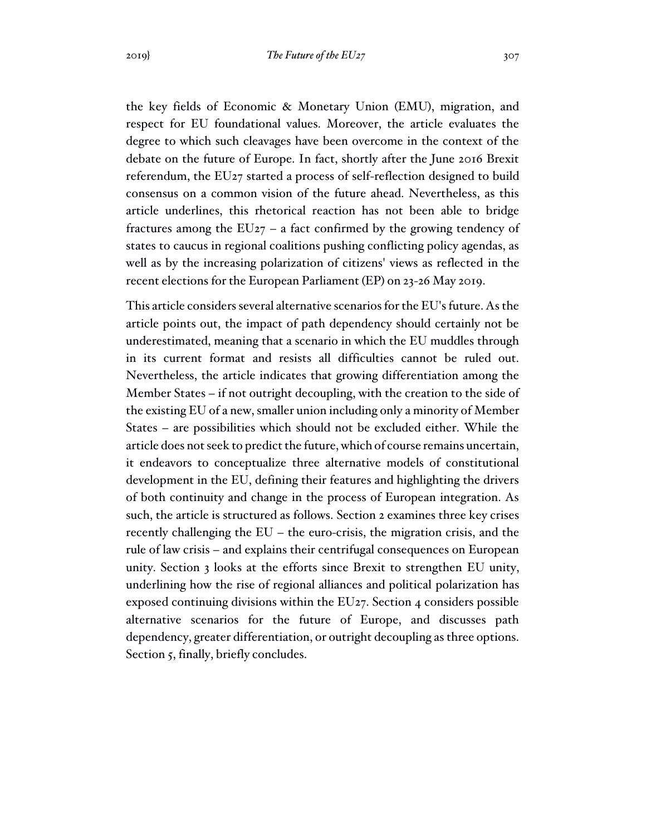the key fields of Economic & Monetary Union (EMU), migration, and respect for EU foundational values. Moreover, the article evaluates the degree to which such cleavages have been overcome in the context of the debate on the future of Europe. In fact, shortly after the June 2016 Brexit referendum, the EU27 started a process of self-reflection designed to build consensus on a common vision of the future ahead. Nevertheless, as this article underlines, this rhetorical reaction has not been able to bridge fractures among the  $EU_{27}$  – a fact confirmed by the growing tendency of states to caucus in regional coalitions pushing conflicting policy agendas, as well as by the increasing polarization of citizens' views as reflected in the recent elections for the European Parliament (EP) on 23-26 May 2019.

This article considers several alternative scenarios for the EU's future. As the article points out, the impact of path dependency should certainly not be underestimated, meaning that a scenario in which the EU muddles through in its current format and resists all difficulties cannot be ruled out. Nevertheless, the article indicates that growing differentiation among the Member States – if not outright decoupling, with the creation to the side of the existing EU of a new, smaller union including only a minority of Member States – are possibilities which should not be excluded either. While the article does not seek to predict the future, which of course remains uncertain, it endeavors to conceptualize three alternative models of constitutional development in the EU, defining their features and highlighting the drivers of both continuity and change in the process of European integration. As such, the article is structured as follows. Section 2 examines three key crises recently challenging the EU – the euro-crisis, the migration crisis, and the rule of law crisis – and explains their centrifugal consequences on European unity. Section 3 looks at the efforts since Brexit to strengthen EU unity, underlining how the rise of regional alliances and political polarization has exposed continuing divisions within the EU27. Section 4 considers possible alternative scenarios for the future of Europe, and discusses path dependency, greater differentiation, or outright decoupling as three options. Section 5, finally, briefly concludes.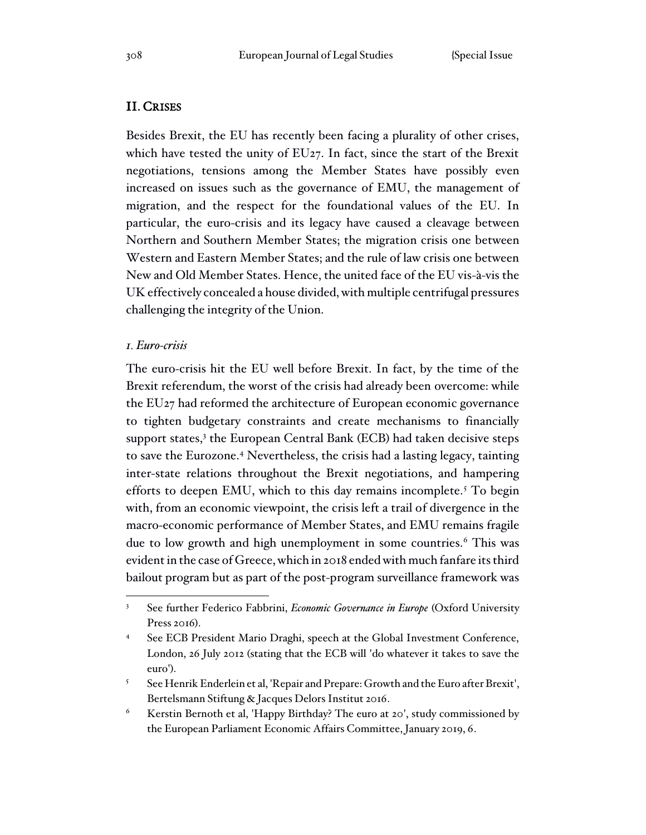## II. CRISES

Besides Brexit, the EU has recently been facing a plurality of other crises, which have tested the unity of EU27. In fact, since the start of the Brexit negotiations, tensions among the Member States have possibly even increased on issues such as the governance of EMU, the management of migration, and the respect for the foundational values of the EU. In particular, the euro-crisis and its legacy have caused a cleavage between Northern and Southern Member States; the migration crisis one between Western and Eastern Member States; and the rule of law crisis one between New and Old Member States. Hence, the united face of the EU vis-à-vis the UK effectively concealed a house divided, with multiple centrifugal pressures challenging the integrity of the Union.

### *1. Euro-crisis*

The euro-crisis hit the EU well before Brexit. In fact, by the time of the Brexit referendum, the worst of the crisis had already been overcome: while the EU27 had reformed the architecture of European economic governance to tighten budgetary constraints and create mechanisms to financially support states,<sup>3</sup> the European Central Bank (ECB) had taken decisive steps to save the Eurozone.<sup>4</sup> Nevertheless, the crisis had a lasting legacy, tainting inter-state relations throughout the Brexit negotiations, and hampering efforts to deepen EMU, which to this day remains incomplete.<sup>5</sup> To begin with, from an economic viewpoint, the crisis left a trail of divergence in the macro-economic performance of Member States, and EMU remains fragile due to low growth and high unemployment in some countries.<sup>6</sup> This was evident in the case of Greece, which in 2018 ended with much fanfare its third bailout program but as part of the post-program surveillance framework was

<sup>&</sup>lt;sup>3</sup> See further Federico Fabbrini, *Economic Governance in Europe* (Oxford University Press 2016).

See ECB President Mario Draghi, speech at the Global Investment Conference, London, 26 July 2012 (stating that the ECB will 'do whatever it takes to save the euro').

<sup>5</sup> See Henrik Enderlein et al, 'Repair and Prepare: Growth and the Euro after Brexit', Bertelsmann Stiftung & Jacques Delors Institut 2016.

<sup>6</sup> Kerstin Bernoth et al, 'Happy Birthday? The euro at 20', study commissioned by the European Parliament Economic Affairs Committee, January 2019, 6.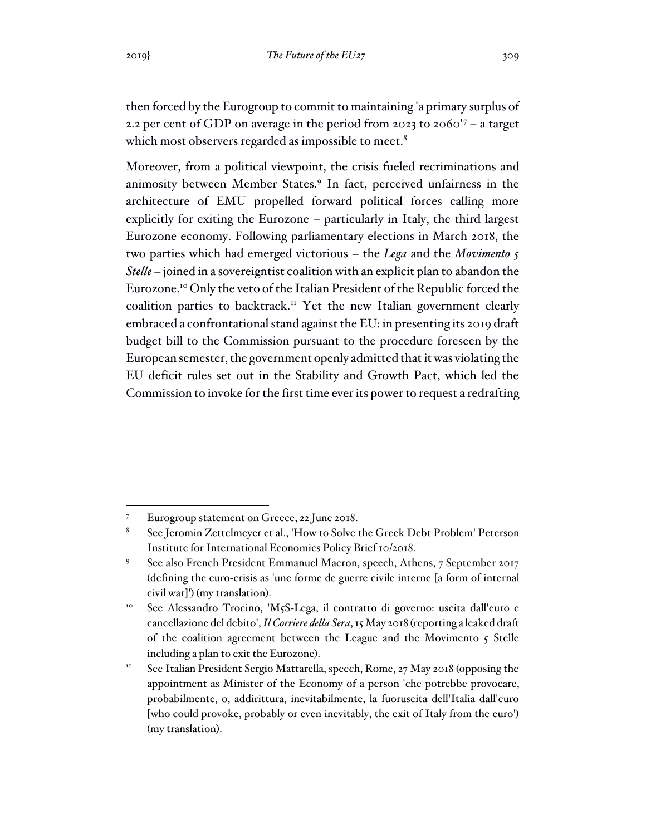then forced by the Eurogroup to commit to maintaining 'a primary surplus of 2.2 per cent of GDP on average in the period from 2023 to 2060'<sup>7</sup> – a target which most observers regarded as impossible to meet.<sup>8</sup>

Moreover, from a political viewpoint, the crisis fueled recriminations and animosity between Member States.<sup>9</sup> In fact, perceived unfairness in the architecture of EMU propelled forward political forces calling more explicitly for exiting the Eurozone – particularly in Italy, the third largest Eurozone economy. Following parliamentary elections in March 2018, the two parties which had emerged victorious – the *Lega* and the *Movimento 5 Stelle* – joined in a sovereigntist coalition with an explicit plan to abandon the Eurozone.<sup>10</sup> Only the veto of the Italian President of the Republic forced the coalition parties to backtrack.<sup>11</sup> Yet the new Italian government clearly embraced a confrontational stand against the EU: in presenting its 2019 draft budget bill to the Commission pursuant to the procedure foreseen by the European semester, the government openly admitted that it was violating the EU deficit rules set out in the Stability and Growth Pact, which led the Commission to invoke for the first time ever its power to request a redrafting

<sup>7</sup> Eurogroup statement on Greece, 22 June 2018.

<sup>8</sup> See Jeromin Zettelmeyer et al., 'How to Solve the Greek Debt Problem' Peterson Institute for International Economics Policy Brief 10/2018.

<sup>9</sup> See also French President Emmanuel Macron, speech, Athens, 7 September 2017 (defining the euro-crisis as 'une forme de guerre civile interne [a form of internal civil war]') (my translation).

<sup>&</sup>lt;sup>10</sup> See Alessandro Trocino, 'M5S-Lega, il contratto di governo: uscita dall'euro e cancellazione del debito', *Il Corriere della Sera*, 15 May 2018 (reporting a leaked draft of the coalition agreement between the League and the Movimento 5 Stelle including a plan to exit the Eurozone).

<sup>&</sup>lt;sup>11</sup> See Italian President Sergio Mattarella, speech, Rome, 27 May 2018 (opposing the appointment as Minister of the Economy of a person 'che potrebbe provocare, probabilmente, o, addirittura, inevitabilmente, la fuoruscita dell'Italia dall'euro [who could provoke, probably or even inevitably, the exit of Italy from the euro') (my translation).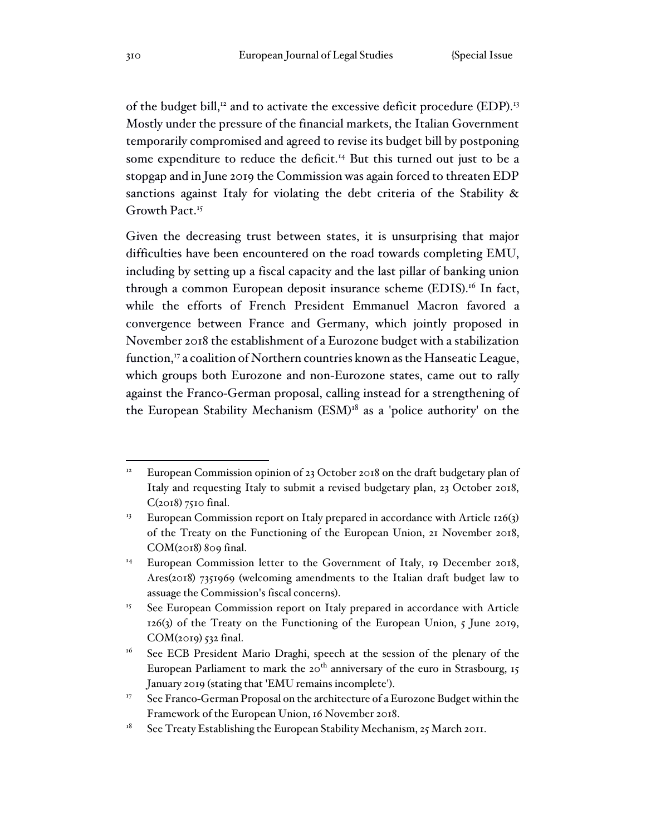of the budget bill,<sup>12</sup> and to activate the excessive deficit procedure (EDP).<sup>13</sup> Mostly under the pressure of the financial markets, the Italian Government temporarily compromised and agreed to revise its budget bill by postponing some expenditure to reduce the deficit.<sup>14</sup> But this turned out just to be a stopgap and in June 2019 the Commission was again forced to threaten EDP sanctions against Italy for violating the debt criteria of the Stability & Growth Pact.<sup>15</sup>

Given the decreasing trust between states, it is unsurprising that major difficulties have been encountered on the road towards completing EMU, including by setting up a fiscal capacity and the last pillar of banking union through a common European deposit insurance scheme (EDIS).<sup>16</sup> In fact, while the efforts of French President Emmanuel Macron favored a convergence between France and Germany, which jointly proposed in November 2018 the establishment of a Eurozone budget with a stabilization function,<sup>17</sup> a coalition of Northern countries known as the Hanseatic League, which groups both Eurozone and non-Eurozone states, came out to rally against the Franco-German proposal, calling instead for a strengthening of the European Stability Mechanism (ESM)<sup>18</sup> as a 'police authority' on the

European Commission opinion of 23 October 2018 on the draft budgetary plan of Italy and requesting Italy to submit a revised budgetary plan, 23 October 2018,  $C(2018)$  7510 final.

<sup>&</sup>lt;sup>13</sup> European Commission report on Italy prepared in accordance with Article 126(3) of the Treaty on the Functioning of the European Union, 21 November 2018, COM(2018) 809 final.

<sup>&</sup>lt;sup>14</sup> European Commission letter to the Government of Italy, 19 December 2018, Ares(2018) 7351969 (welcoming amendments to the Italian draft budget law to assuage the Commission's fiscal concerns).

<sup>&</sup>lt;sup>15</sup> See European Commission report on Italy prepared in accordance with Article 126(3) of the Treaty on the Functioning of the European Union, 5 June 2019, COM(2019) 532 final.

<sup>&</sup>lt;sup>16</sup> See ECB President Mario Draghi, speech at the session of the plenary of the European Parliament to mark the  $20<sup>th</sup>$  anniversary of the euro in Strasbourg, 15 January 2019 (stating that 'EMU remains incomplete').

<sup>&</sup>lt;sup>17</sup> See Franco-German Proposal on the architecture of a Eurozone Budget within the Framework of the European Union, 16 November 2018.

 $18$  See Treaty Establishing the European Stability Mechanism, 25 March 2011.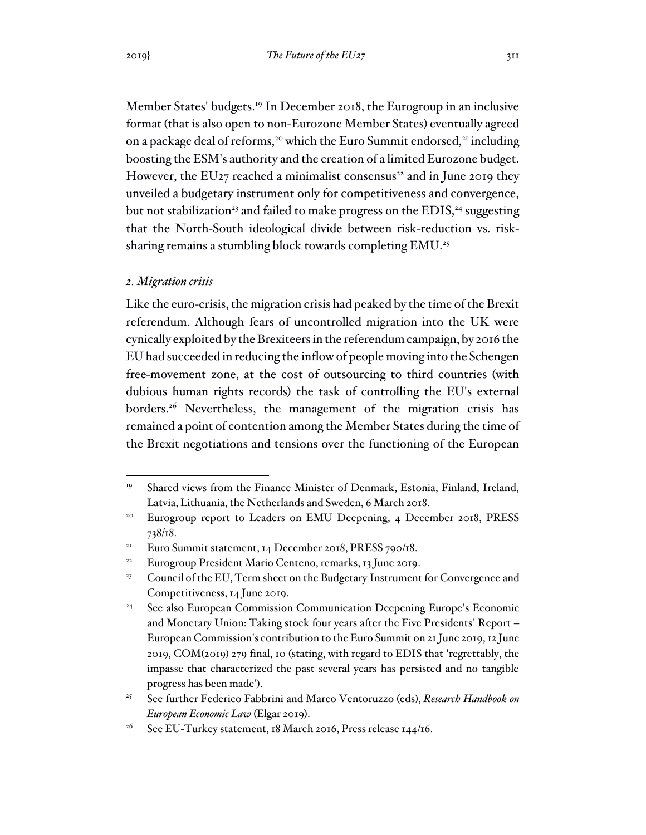Member States' budgets.<sup>19</sup> In December 2018, the Eurogroup in an inclusive format (that is also open to non-Eurozone Member States) eventually agreed on a package deal of reforms,<sup>20</sup> which the Euro Summit endorsed,<sup>21</sup> including boosting the ESM's authority and the creation of a limited Eurozone budget. However, the EU27 reached a minimalist consensus<sup>22</sup> and in June 2019 they unveiled a budgetary instrument only for competitiveness and convergence, but not stabilization<sup>23</sup> and failed to make progress on the EDIS,<sup>24</sup> suggesting that the North-South ideological divide between risk-reduction vs. risksharing remains a stumbling block towards completing EMU.<sup>25</sup>

#### *2. Migration crisis*

Like the euro-crisis, the migration crisis had peaked by the time of the Brexit referendum. Although fears of uncontrolled migration into the UK were cynically exploited by the Brexiteers in the referendum campaign, by 2016 the EU had succeeded in reducing the inflow of people moving into the Schengen free-movement zone, at the cost of outsourcing to third countries (with dubious human rights records) the task of controlling the EU's external borders.<sup>26</sup> Nevertheless, the management of the migration crisis has remained a point of contention among the Member States during the time of the Brexit negotiations and tensions over the functioning of the European

<sup>&</sup>lt;sup>19</sup> Shared views from the Finance Minister of Denmark, Estonia, Finland, Ireland, Latvia, Lithuania, the Netherlands and Sweden, 6 March 2018.

<sup>&</sup>lt;sup>20</sup> Eurogroup report to Leaders on EMU Deepening, 4 December 2018, PRESS 738/18.

<sup>&</sup>lt;sup>21</sup> Euro Summit statement, 14 December 2018, PRESS 790/18.

<sup>&</sup>lt;sup>22</sup> Eurogroup President Mario Centeno, remarks, 13 June 2019.

<sup>&</sup>lt;sup>23</sup> Council of the EU, Term sheet on the Budgetary Instrument for Convergence and Competitiveness, 14 June 2019.

<sup>&</sup>lt;sup>24</sup> See also European Commission Communication Deepening Europe's Economic and Monetary Union: Taking stock four years after the Five Presidents' Report – European Commission's contribution to the Euro Summit on 21 June 2019, 12 June 2019, COM(2019) 279 final, 10 (stating, with regard to EDIS that 'regrettably, the impasse that characterized the past several years has persisted and no tangible progress has been made').

<sup>25</sup> See further Federico Fabbrini and Marco Ventoruzzo (eds), *Research Handbook on European Economic Law* (Elgar 2019).

<sup>&</sup>lt;sup>26</sup> See EU-Turkey statement, 18 March 2016, Press release  $144/16$ .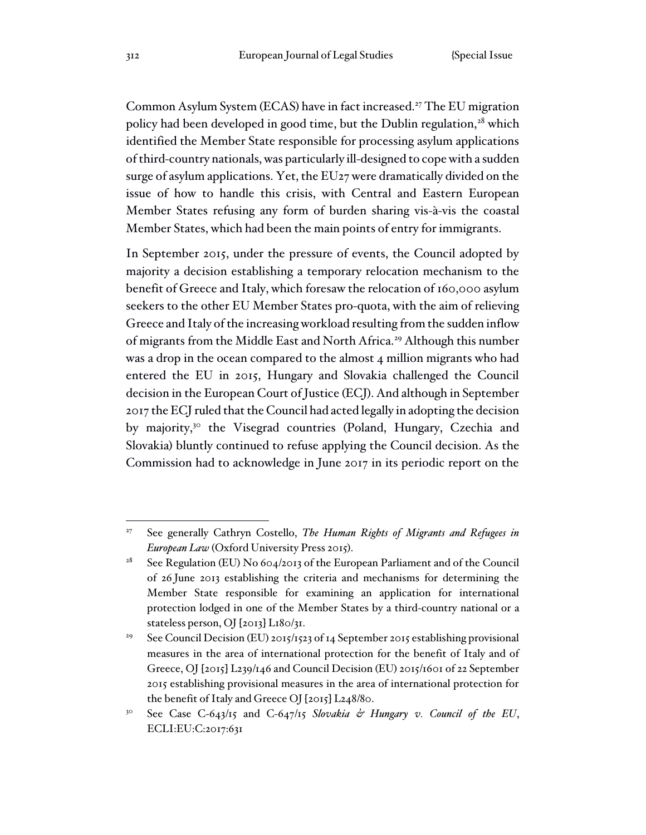Common Asylum System (ECAS) have in fact increased.<sup>27</sup> The EU migration policy had been developed in good time, but the Dublin regulation, $28$  which identified the Member State responsible for processing asylum applications of third-country nationals, was particularly ill-designed to cope with a sudden surge of asylum applications. Yet, the EU27 were dramatically divided on the issue of how to handle this crisis, with Central and Eastern European Member States refusing any form of burden sharing vis-à-vis the coastal Member States, which had been the main points of entry for immigrants.

In September 2015, under the pressure of events, the Council adopted by majority a decision establishing a temporary relocation mechanism to the benefit of Greece and Italy, which foresaw the relocation of 160,000 asylum seekers to the other EU Member States pro-quota, with the aim of relieving Greece and Italy of the increasing workload resulting from the sudden inflow of migrants from the Middle East and North Africa.<sup>29</sup> Although this number was a drop in the ocean compared to the almost 4 million migrants who had entered the EU in 2015, Hungary and Slovakia challenged the Council decision in the European Court of Justice (ECJ). And although in September 2017 the ECJ ruled that the Council had acted legally in adopting the decision by majority,<sup>30</sup> the Visegrad countries (Poland, Hungary, Czechia and Slovakia) bluntly continued to refuse applying the Council decision. As the Commission had to acknowledge in June 2017 in its periodic report on the

<sup>27</sup> See generally Cathryn Costello, *The Human Rights of Migrants and Refugees in European Law* (Oxford University Press 2015).

<sup>&</sup>lt;sup>28</sup> See Regulation (EU) No  $604/2013$  of the European Parliament and of the Council of 26 June 2013 establishing the criteria and mechanisms for determining the Member State responsible for examining an application for international protection lodged in one of the Member States by a third-country national or a stateless person, OJ [2013] L180/31.

<sup>&</sup>lt;sup>29</sup> See Council Decision (EU) 2015/1523 of 14 September 2015 establishing provisional measures in the area of international protection for the benefit of Italy and of Greece, OJ [2015] L239/146 and Council Decision (EU) 2015/1601 of 22 September 2015 establishing provisional measures in the area of international protection for the benefit of Italy and Greece OJ [2015] L248/80.

<sup>30</sup> See Case C-643/15 and C-647/15 *Slovakia & Hungary v. Council of the EU*, ECLI:EU:C:2017:631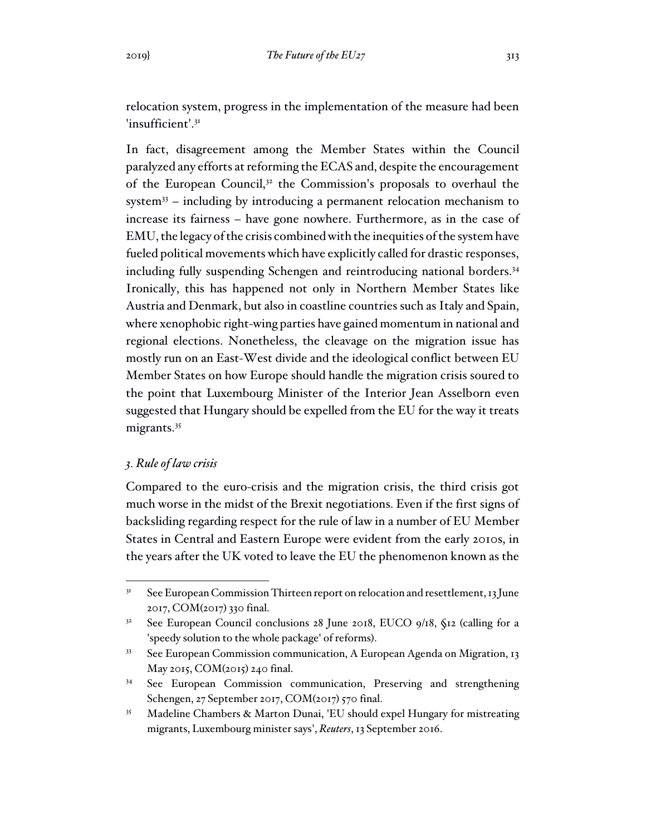relocation system, progress in the implementation of the measure had been 'insufficient'.<sup>31</sup>

In fact, disagreement among the Member States within the Council paralyzed any efforts at reforming the ECAS and, despite the encouragement of the European Council,<sup>32</sup> the Commission's proposals to overhaul the system $33$  – including by introducing a permanent relocation mechanism to increase its fairness – have gone nowhere. Furthermore, as in the case of EMU, the legacy of the crisis combined with the inequities of the system have fueled political movements which have explicitly called for drastic responses, including fully suspending Schengen and reintroducing national borders.<sup>34</sup> Ironically, this has happened not only in Northern Member States like Austria and Denmark, but also in coastline countries such as Italy and Spain, where xenophobic right-wing parties have gained momentum in national and regional elections. Nonetheless, the cleavage on the migration issue has mostly run on an East-West divide and the ideological conflict between EU Member States on how Europe should handle the migration crisis soured to the point that Luxembourg Minister of the Interior Jean Asselborn even suggested that Hungary should be expelled from the EU for the way it treats migrants.<sup>35</sup>

# *3. Rule of law crisis*

Compared to the euro-crisis and the migration crisis, the third crisis got much worse in the midst of the Brexit negotiations. Even if the first signs of backsliding regarding respect for the rule of law in a number of EU Member States in Central and Eastern Europe were evident from the early 2010s, in the years after the UK voted to leave the EU the phenomenon known as the

<sup>&</sup>lt;sup>31</sup> See European Commission Thirteen report on relocation and resettlement, 13 June 2017, COM(2017) 330 final.

<sup>&</sup>lt;sup>32</sup> See European Council conclusions 28 June 2018, EUCO 9/18, §12 (calling for a 'speedy solution to the whole package' of reforms).

<sup>&</sup>lt;sup>33</sup> See European Commission communication, A European Agenda on Migration, 13 May 2015, COM(2015) 240 final.

<sup>&</sup>lt;sup>34</sup> See European Commission communication, Preserving and strengthening Schengen, 27 September 2017, COM(2017) 570 final.

<sup>35</sup> Madeline Chambers & Marton Dunai, 'EU should expel Hungary for mistreating migrants, Luxembourg minister says', *Reuters*, 13 September 2016.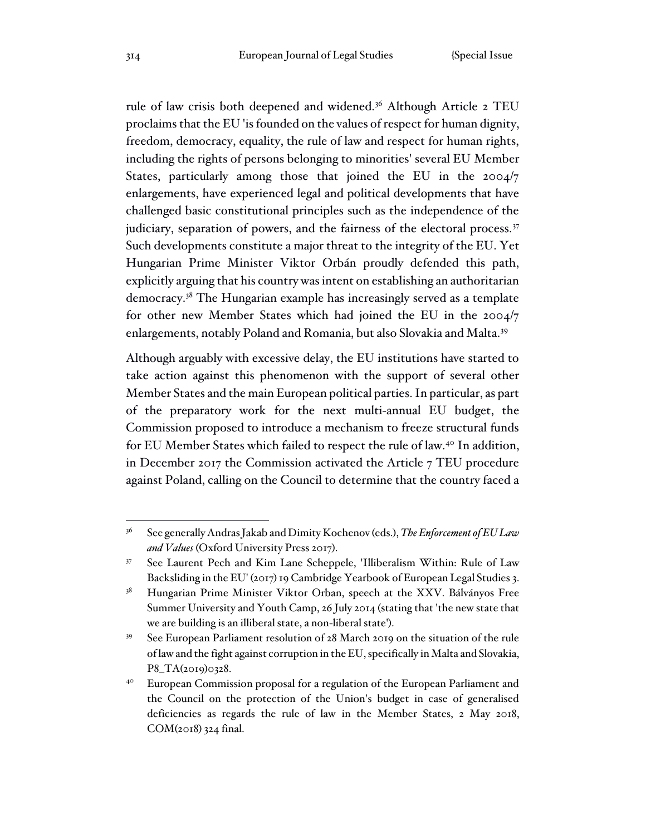rule of law crisis both deepened and widened.<sup>36</sup> Although Article 2 TEU proclaims that the EU 'is founded on the values of respect for human dignity, freedom, democracy, equality, the rule of law and respect for human rights, including the rights of persons belonging to minorities' several EU Member States, particularly among those that joined the EU in the 2004/7 enlargements, have experienced legal and political developments that have challenged basic constitutional principles such as the independence of the judiciary, separation of powers, and the fairness of the electoral process.<sup>37</sup> Such developments constitute a major threat to the integrity of the EU. Yet Hungarian Prime Minister Viktor Orbán proudly defended this path, explicitly arguing that his country was intent on establishing an authoritarian democracy.<sup>38</sup> The Hungarian example has increasingly served as a template for other new Member States which had joined the EU in the 2004/7 enlargements, notably Poland and Romania, but also Slovakia and Malta.<sup>39</sup>

Although arguably with excessive delay, the EU institutions have started to take action against this phenomenon with the support of several other Member States and the main European political parties. In particular, as part of the preparatory work for the next multi-annual EU budget, the Commission proposed to introduce a mechanism to freeze structural funds for EU Member States which failed to respect the rule of law.<sup>40</sup> In addition, in December 2017 the Commission activated the Article 7 TEU procedure against Poland, calling on the Council to determine that the country faced a

<sup>36</sup> See generally Andras Jakab and Dimity Kochenov (eds.), *The Enforcement of EU Law and Values* (Oxford University Press 2017).

<sup>37</sup> See Laurent Pech and Kim Lane Scheppele, 'Illiberalism Within: Rule of Law Backsliding in the EU' (2017) 19 Cambridge Yearbook of European Legal Studies 3.

<sup>&</sup>lt;sup>38</sup> Hungarian Prime Minister Viktor Orban, speech at the XXV. Bálványos Free Summer University and Youth Camp, 26 July 2014 (stating that 'the new state that we are building is an illiberal state, a non-liberal state').

<sup>&</sup>lt;sup>39</sup> See European Parliament resolution of 28 March 2019 on the situation of the rule of law and the fight against corruption in the EU, specifically in Malta and Slovakia, P8\_TA(2019)0328.

<sup>&</sup>lt;sup>40</sup> European Commission proposal for a regulation of the European Parliament and the Council on the protection of the Union's budget in case of generalised deficiencies as regards the rule of law in the Member States, 2 May 2018, COM(2018) 324 final.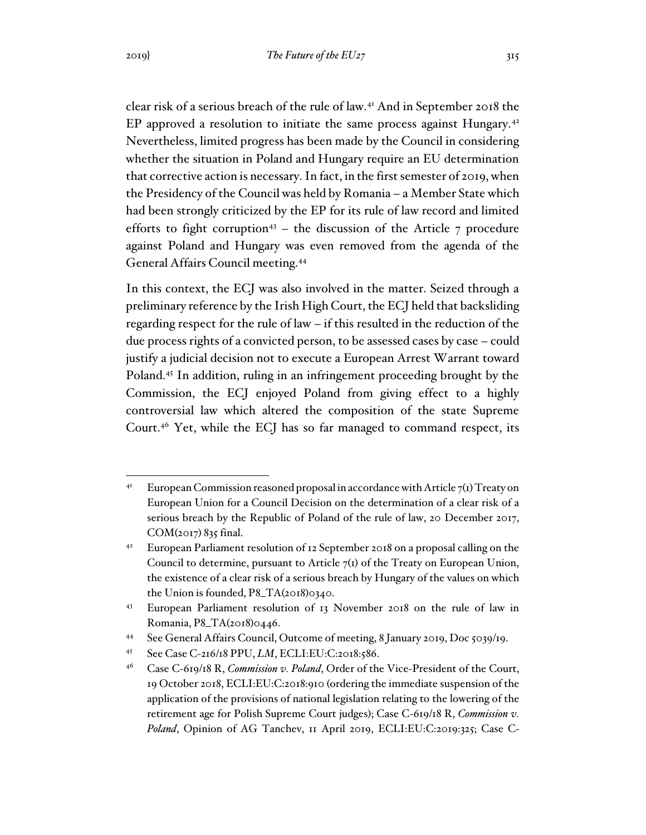clear risk of a serious breach of the rule of law.<sup>41</sup> And in September 2018 the EP approved a resolution to initiate the same process against Hungary.<sup>42</sup> Nevertheless, limited progress has been made by the Council in considering whether the situation in Poland and Hungary require an EU determination that corrective action is necessary. In fact, in the first semester of 2019, when the Presidency of the Council was held by Romania – a Member State which had been strongly criticized by the EP for its rule of law record and limited efforts to fight corruption<sup>43</sup> – the discussion of the Article  $7$  procedure against Poland and Hungary was even removed from the agenda of the General Affairs Council meeting.<sup>44</sup>

In this context, the ECJ was also involved in the matter. Seized through a preliminary reference by the Irish High Court, the ECJ held that backsliding regarding respect for the rule of law – if this resulted in the reduction of the due process rights of a convicted person, to be assessed cases by case – could justify a judicial decision not to execute a European Arrest Warrant toward Poland.<sup>45</sup> In addition, ruling in an infringement proceeding brought by the Commission, the ECJ enjoyed Poland from giving effect to a highly controversial law which altered the composition of the state Supreme Court.<sup>46</sup> Yet, while the ECJ has so far managed to command respect, its

<sup>&</sup>lt;sup>41</sup> European Commission reasoned proposal in accordance with Article  $7(1)$  Treaty on European Union for a Council Decision on the determination of a clear risk of a serious breach by the Republic of Poland of the rule of law, 20 December 2017, COM(2017) 835 final.

<sup>42</sup> European Parliament resolution of 12 September 2018 on a proposal calling on the Council to determine, pursuant to Article  $7<sub>(1)</sub>$  of the Treaty on European Union, the existence of a clear risk of a serious breach by Hungary of the values on which the Union is founded, P8\_TA(2018)0340.

<sup>43</sup> European Parliament resolution of 13 November 2018 on the rule of law in Romania, P8\_TA(2018)0446.

<sup>44</sup> See General Affairs Council, Outcome of meeting, 8 January 2019, Doc 5039/19.

<sup>45</sup> See Case C-216/18 PPU, *LM*, ECLI:EU:C:2018:586.

<sup>46</sup> Case C-619/18 R, *Commission v. Poland*, Order of the Vice-President of the Court, 19 October 2018, ECLI:EU:C:2018:910 (ordering the immediate suspension of the application of the provisions of national legislation relating to the lowering of the retirement age for Polish Supreme Court judges); Case C-619/18 R, *Commission v. Poland*, Opinion of AG Tanchev, 11 April 2019, ECLI:EU:C:2019:325; Case C-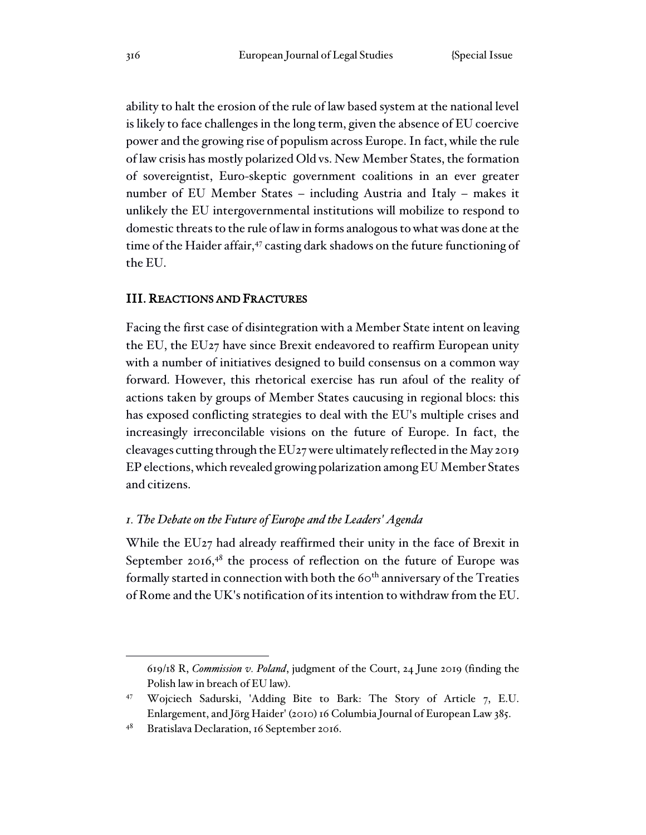ability to halt the erosion of the rule of law based system at the national level is likely to face challenges in the long term, given the absence of EU coercive power and the growing rise of populism across Europe. In fact, while the rule of law crisis has mostly polarized Old vs. New Member States, the formation of sovereigntist, Euro-skeptic government coalitions in an ever greater number of EU Member States – including Austria and Italy – makes it unlikely the EU intergovernmental institutions will mobilize to respond to domestic threats to the rule of law in forms analogous to what was done at the time of the Haider affair,<sup>47</sup> casting dark shadows on the future functioning of the EU.

### III. REACTIONS AND FRACTURES

Facing the first case of disintegration with a Member State intent on leaving the EU, the EU27 have since Brexit endeavored to reaffirm European unity with a number of initiatives designed to build consensus on a common way forward. However, this rhetorical exercise has run afoul of the reality of actions taken by groups of Member States caucusing in regional blocs: this has exposed conflicting strategies to deal with the EU's multiple crises and increasingly irreconcilable visions on the future of Europe. In fact, the cleavages cutting through the EU27 were ultimately reflected in the May 2019 EP elections, which revealed growing polarization among EU Member States and citizens.

#### *1. The Debate on the Future of Europe and the Leaders' Agenda*

While the EU27 had already reaffirmed their unity in the face of Brexit in September 2016, $48$  the process of reflection on the future of Europe was formally started in connection with both the 60<sup>th</sup> anniversary of the Treaties of Rome and the UK's notification of its intention to withdraw from the EU.

<sup>619/18</sup> R, *Commission v. Poland*, judgment of the Court, 24 June 2019 (finding the Polish law in breach of EU law).

<sup>47</sup> Wojciech Sadurski, 'Adding Bite to Bark: The Story of Article 7, E.U. Enlargement, and Jörg Haider' (2010) 16 Columbia Journal of European Law 385.

<sup>48</sup> Bratislava Declaration, 16 September 2016.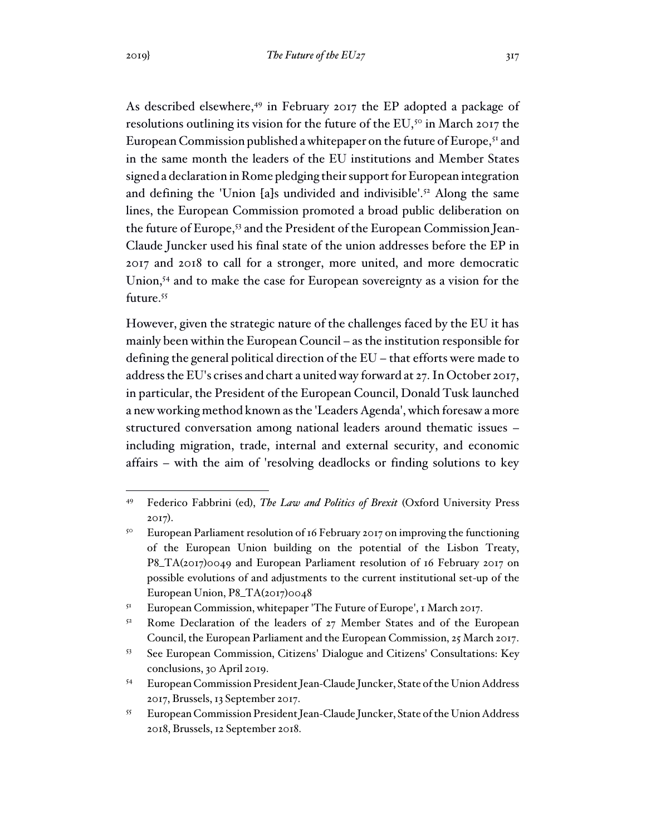As described elsewhere,<sup>49</sup> in February 2017 the EP adopted a package of resolutions outlining its vision for the future of the EU,<sup>50</sup> in March 2017 the European Commission published a whitepaper on the future of Europe,<sup>51</sup> and in the same month the leaders of the EU institutions and Member States signed a declaration in Rome pledging their support for European integration and defining the 'Union [a]s undivided and indivisible'.<sup>52</sup> Along the same lines, the European Commission promoted a broad public deliberation on the future of Europe,<sup>53</sup> and the President of the European Commission Jean-Claude Juncker used his final state of the union addresses before the EP in 2017 and 2018 to call for a stronger, more united, and more democratic Union,<sup>54</sup> and to make the case for European sovereignty as a vision for the future.<sup>55</sup>

However, given the strategic nature of the challenges faced by the EU it has mainly been within the European Council – as the institution responsible for defining the general political direction of the EU – that efforts were made to address the EU's crises and chart a united way forward at 27. In October 2017, in particular, the President of the European Council, Donald Tusk launched a new working method known as the 'Leaders Agenda', which foresaw a more structured conversation among national leaders around thematic issues – including migration, trade, internal and external security, and economic affairs – with the aim of 'resolving deadlocks or finding solutions to key

<sup>49</sup> Federico Fabbrini (ed), *The Law and Politics of Brexit* (Oxford University Press 2017).

<sup>&</sup>lt;sup>50</sup> European Parliament resolution of 16 February 2017 on improving the functioning of the European Union building on the potential of the Lisbon Treaty, P8\_TA(2017)0049 and European Parliament resolution of 16 February 2017 on possible evolutions of and adjustments to the current institutional set-up of the European Union, P8\_TA(2017)0048

<sup>&</sup>lt;sup>51</sup> European Commission, whitepaper 'The Future of Europe', 1 March 2017.

<sup>&</sup>lt;sup>52</sup> Rome Declaration of the leaders of 27 Member States and of the European Council, the European Parliament and the European Commission, 25 March 2017.

<sup>53</sup> See European Commission, Citizens' Dialogue and Citizens' Consultations: Key conclusions, 30 April 2019.

<sup>54</sup> European Commission President Jean-Claude Juncker, State of the Union Address 2017, Brussels, 13 September 2017.

<sup>55</sup> European Commission President Jean-Claude Juncker, State of the Union Address 2018, Brussels, 12 September 2018.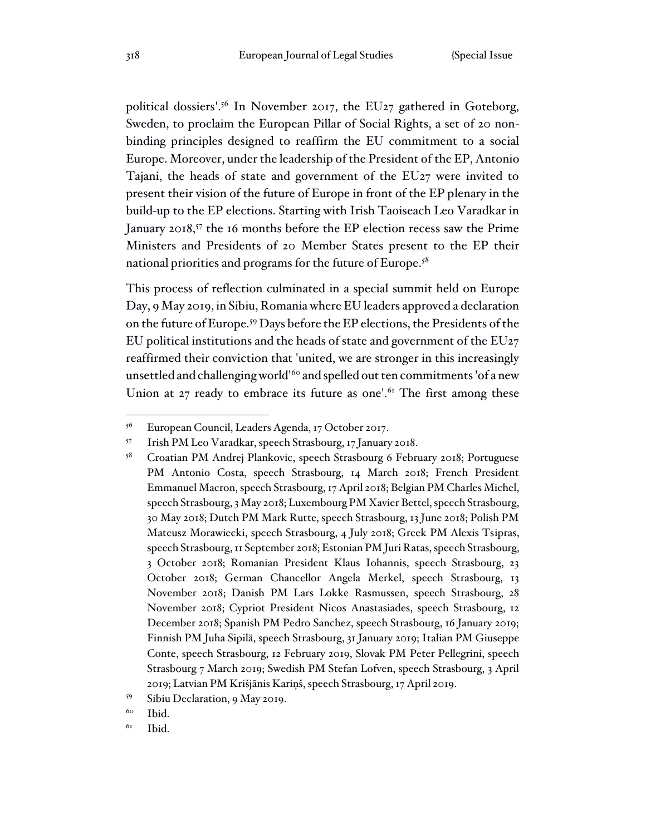political dossiers'.<sup>56</sup> In November 2017, the EU27 gathered in Goteborg, Sweden, to proclaim the European Pillar of Social Rights, a set of 20 nonbinding principles designed to reaffirm the EU commitment to a social Europe. Moreover, under the leadership of the President of the EP, Antonio Tajani, the heads of state and government of the EU27 were invited to present their vision of the future of Europe in front of the EP plenary in the build-up to the EP elections. Starting with Irish Taoiseach Leo Varadkar in January 2018,<sup>57</sup> the 16 months before the EP election recess saw the Prime Ministers and Presidents of 20 Member States present to the EP their national priorities and programs for the future of Europe.<sup>58</sup>

This process of reflection culminated in a special summit held on Europe Day, 9 May 2019, in Sibiu, Romania where EU leaders approved a declaration on the future of Europe.<sup>59</sup> Days before the EP elections, the Presidents of the EU political institutions and the heads of state and government of the EU27 reaffirmed their conviction that 'united, we are stronger in this increasingly unsettled and challenging world<sup>160</sup> and spelled out ten commitments 'of a new Union at  $27$  ready to embrace its future as one'.<sup>61</sup> The first among these

<sup>56</sup> European Council, Leaders Agenda, 17 October 2017.

<sup>57</sup> Irish PM Leo Varadkar, speech Strasbourg, 17 January 2018.

<sup>58</sup> Croatian PM Andrej Plankovic, speech Strasbourg 6 February 2018; Portuguese PM Antonio Costa, speech Strasbourg, 14 March 2018; French President Emmanuel Macron, speech Strasbourg, 17 April 2018; Belgian PM Charles Michel, speech Strasbourg, 3 May 2018; Luxembourg PM Xavier Bettel, speech Strasbourg, 30 May 2018; Dutch PM Mark Rutte, speech Strasbourg, 13 June 2018; Polish PM Mateusz Morawiecki, speech Strasbourg, 4 July 2018; Greek PM Alexis Tsipras, speech Strasbourg, 11 September 2018; Estonian PM Juri Ratas, speech Strasbourg, 3 October 2018; Romanian President Klaus Iohannis, speech Strasbourg, 23 October 2018; German Chancellor Angela Merkel, speech Strasbourg, 13 November 2018; Danish PM Lars Lokke Rasmussen, speech Strasbourg, 28 November 2018; Cypriot President Nicos Anastasiades, speech Strasbourg, 12 December 2018; Spanish PM Pedro Sanchez, speech Strasbourg, 16 January 2019; Finnish PM Juha Sipilä, speech Strasbourg, 31 January 2019; Italian PM Giuseppe Conte, speech Strasbourg, 12 February 2019, Slovak PM Peter Pellegrini, speech Strasbourg 7 March 2019; Swedish PM Stefan Lofven, speech Strasbourg, 3 April 2019; Latvian PM Krišjānis Kariņš, speech Strasbourg, 17 April 2019.

<sup>59</sup> Sibiu Declaration, 9 May 2019.

<sup>60</sup> Ibid.

 $6I$  Ibid.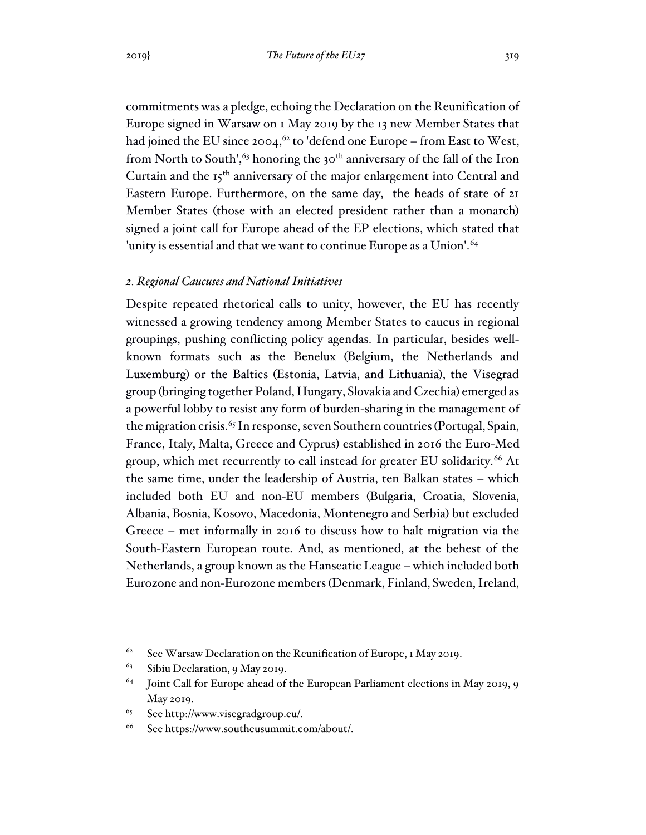commitments was a pledge, echoing the Declaration on the Reunification of Europe signed in Warsaw on 1 May 2019 by the 13 new Member States that had joined the EU since 2004,<sup>62</sup> to 'defend one Europe – from East to West, from North to South',<sup>63</sup> honoring the 30<sup>th</sup> anniversary of the fall of the Iron Curtain and the 15<sup>th</sup> anniversary of the major enlargement into Central and Eastern Europe. Furthermore, on the same day, the heads of state of 21 Member States (those with an elected president rather than a monarch) signed a joint call for Europe ahead of the EP elections, which stated that 'unity is essential and that we want to continue Europe as a Union'.<sup>64</sup>

### *2. Regional Caucuses and National Initiatives*

Despite repeated rhetorical calls to unity, however, the EU has recently witnessed a growing tendency among Member States to caucus in regional groupings, pushing conflicting policy agendas. In particular, besides wellknown formats such as the Benelux (Belgium, the Netherlands and Luxemburg) or the Baltics (Estonia, Latvia, and Lithuania), the Visegrad group (bringing together Poland, Hungary, Slovakia and Czechia) emerged as a powerful lobby to resist any form of burden-sharing in the management of the migration crisis.<sup>65</sup> In response, seven Southern countries (Portugal, Spain, France, Italy, Malta, Greece and Cyprus) established in 2016 the Euro-Med group, which met recurrently to call instead for greater EU solidarity.<sup>66</sup> At the same time, under the leadership of Austria, ten Balkan states – which included both EU and non-EU members (Bulgaria, Croatia, Slovenia, Albania, Bosnia, Kosovo, Macedonia, Montenegro and Serbia) but excluded Greece – met informally in 2016 to discuss how to halt migration via the South-Eastern European route. And, as mentioned, at the behest of the Netherlands, a group known as the Hanseatic League – which included both Eurozone and non-Eurozone members (Denmark, Finland, Sweden, Ireland,

<sup>&</sup>lt;sup>62</sup> See Warsaw Declaration on the Reunification of Europe, 1 May 2019.

 $63$  Sibiu Declaration, 9 May 2019.

 $64$  Joint Call for Europe ahead of the European Parliament elections in May 2019, 9 May 2019.

<sup>65</sup> See http://www.visegradgroup.eu/.

<sup>66</sup> See https://www.southeusummit.com/about/.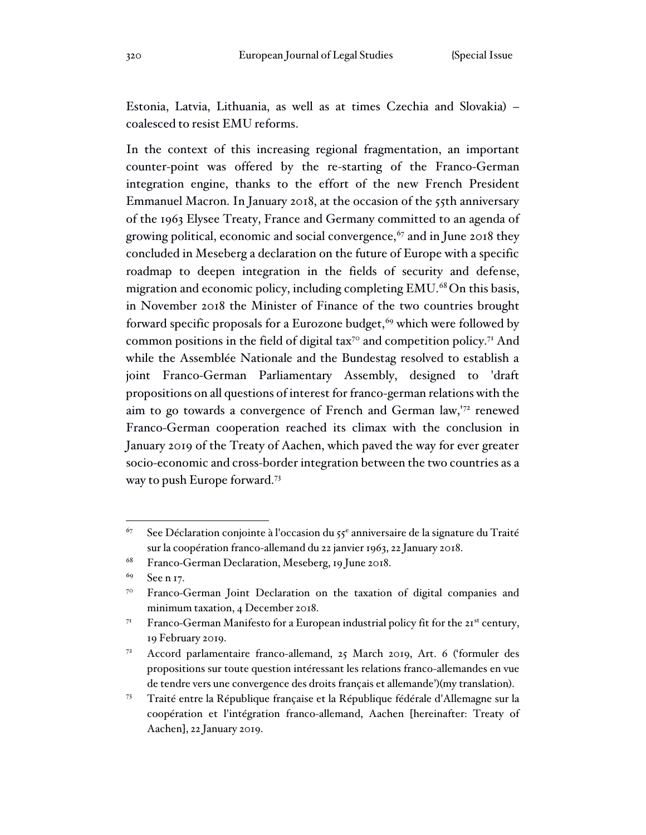Estonia, Latvia, Lithuania, as well as at times Czechia and Slovakia) – coalesced to resist EMU reforms.

In the context of this increasing regional fragmentation, an important counter-point was offered by the re-starting of the Franco-German integration engine, thanks to the effort of the new French President Emmanuel Macron. In January 2018, at the occasion of the 55th anniversary of the 1963 Elysee Treaty, France and Germany committed to an agenda of growing political, economic and social convergence,  $67$  and in June 2018 they concluded in Meseberg a declaration on the future of Europe with a specific roadmap to deepen integration in the fields of security and defense, migration and economic policy, including completing EMU.<sup>68</sup> On this basis, in November 2018 the Minister of Finance of the two countries brought forward specific proposals for a Eurozone budget,  $69$  which were followed by common positions in the field of digital tax<sup>70</sup> and competition policy.<sup>71</sup> And while the Assemblée Nationale and the Bundestag resolved to establish a joint Franco-German Parliamentary Assembly, designed to 'draft propositions on all questions of interest for franco-german relations with the aim to go towards a convergence of French and German law,'<sup>72</sup> renewed Franco-German cooperation reached its climax with the conclusion in January 2019 of the Treaty of Aachen, which paved the way for ever greater socio-economic and cross-border integration between the two countries as a way to push Europe forward.<sup>73</sup>

 $67$  See Déclaration conjointe à l'occasion du 55<sup>e</sup> anniversaire de la signature du Traité sur la coopération franco-allemand du 22 janvier 1963, 22 January 2018.

<sup>68</sup> Franco-German Declaration, Meseberg, 19 June 2018.

<sup>69</sup> See n 17.

<sup>&</sup>lt;sup>70</sup> Franco-German Joint Declaration on the taxation of digital companies and minimum taxation, 4 December 2018.

<sup>&</sup>lt;sup>71</sup> Franco-German Manifesto for a European industrial policy fit for the  $21^{st}$  century, 19 February 2019.

<sup>72</sup> Accord parlamentaire franco-allemand, 25 March 2019, Art. 6 ('formuler des propositions sur toute question intéressant les relations franco-allemandes en vue de tendre vers une convergence des droits français et allemande')(my translation).

<sup>73</sup> Traité entre la République française et la République fédérale d'Allemagne sur la coopération et l'intégration franco-allemand, Aachen [hereinafter: Treaty of Aachen], 22 January 2019.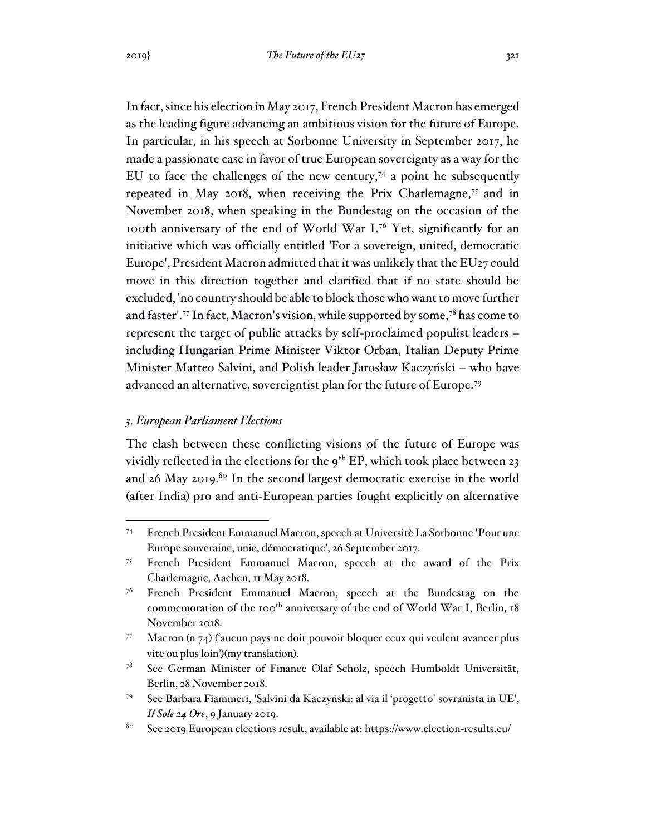In fact, since his election in May 2017, French President Macron has emerged as the leading figure advancing an ambitious vision for the future of Europe. In particular, in his speech at Sorbonne University in September 2017, he made a passionate case in favor of true European sovereignty as a way for the EU to face the challenges of the new century,<sup>74</sup> a point he subsequently repeated in May 2018, when receiving the Prix Charlemagne,<sup>75</sup> and in November 2018, when speaking in the Bundestag on the occasion of the 100th anniversary of the end of World War I.<sup>76</sup> Yet, significantly for an initiative which was officially entitled 'For a sovereign, united, democratic Europe', President Macron admitted that it was unlikely that the EU27 could move in this direction together and clarified that if no state should be excluded, 'no country should be able to block those who want to move further and faster'.<sup>77</sup> In fact, Macron's vision, while supported by some,<sup>78</sup> has come to represent the target of public attacks by self-proclaimed populist leaders – including Hungarian Prime Minister Viktor Orban, Italian Deputy Prime Minister Matteo Salvini, and Polish leader Jarosław Kaczyński – who have advanced an alternative, sovereigntist plan for the future of Europe.<sup>79</sup>

### *3. European Parliament Elections*

The clash between these conflicting visions of the future of Europe was vividly reflected in the elections for the  $9^{th}$  EP, which took place between 23 and 26 May 2019.<sup>80</sup> In the second largest democratic exercise in the world (after India) pro and anti-European parties fought explicitly on alternative

<sup>74</sup> French President Emmanuel Macron, speech at Universitè La Sorbonne 'Pour une Europe souveraine, unie, démocratique', 26 September 2017.

<sup>75</sup> French President Emmanuel Macron, speech at the award of the Prix Charlemagne, Aachen, 11 May 2018.

<sup>&</sup>lt;sup>76</sup> French President Emmanuel Macron, speech at the Bundestag on the commemoration of the 100<sup>th</sup> anniversary of the end of World War I, Berlin, 18 November 2018.

<sup>77</sup> Macron (n 74) ('aucun pays ne doit pouvoir bloquer ceux qui veulent avancer plus vite ou plus loin')(my translation).

<sup>78</sup> See German Minister of Finance Olaf Scholz, speech Humboldt Universität, Berlin, 28 November 2018.

<sup>79</sup> See Barbara Fiammeri, 'Salvini da Kaczyński: al via il 'progetto' sovranista in UE', *Il Sole 24 Ore*, 9 January 2019.

<sup>80</sup> See 2019 European elections result, available at: https://www.election-results.eu/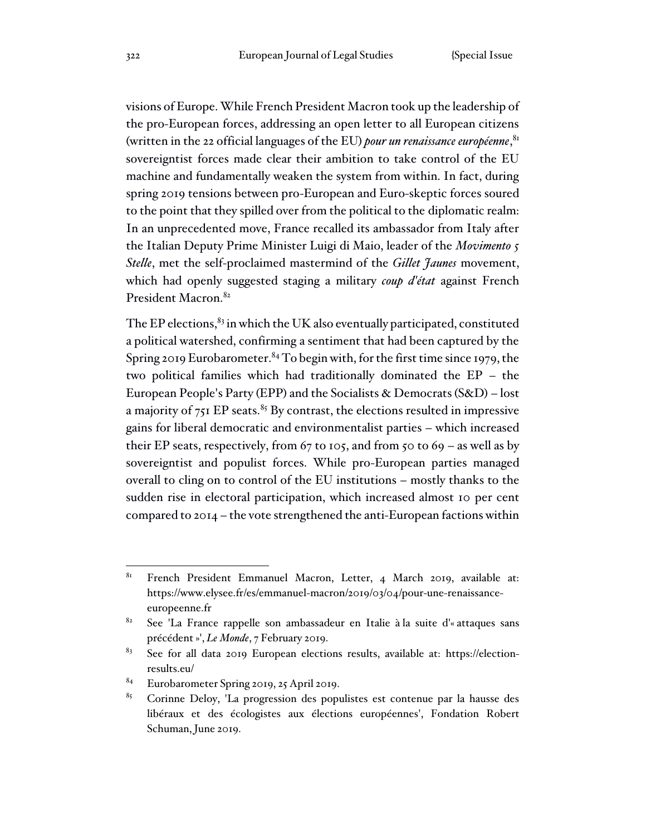visions of Europe. While French President Macron took up the leadership of the pro-European forces, addressing an open letter to all European citizens (written in the 22 official languages of the EU) *pour un renaissance européenne*, 81 sovereigntist forces made clear their ambition to take control of the EU machine and fundamentally weaken the system from within. In fact, during spring 2019 tensions between pro-European and Euro-skeptic forces soured to the point that they spilled over from the political to the diplomatic realm: In an unprecedented move, France recalled its ambassador from Italy after the Italian Deputy Prime Minister Luigi di Maio, leader of the *Movimento 5 Stelle*, met the self-proclaimed mastermind of the *Gillet Jaunes* movement, which had openly suggested staging a military *coup d'état* against French President Macron.<sup>82</sup>

The EP elections, $83$  in which the UK also eventually participated, constituted a political watershed, confirming a sentiment that had been captured by the Spring 2019 Eurobarometer. <sup>84</sup> To begin with, for the first time since 1979, the two political families which had traditionally dominated the EP – the European People's Party (EPP) and the Socialists & Democrats (S&D) – lost a majority of  $751$  EP seats.<sup>85</sup> By contrast, the elections resulted in impressive gains for liberal democratic and environmentalist parties – which increased their EP seats, respectively, from  $67$  to 105, and from 50 to  $69 -$  as well as by sovereigntist and populist forces. While pro-European parties managed overall to cling on to control of the EU institutions – mostly thanks to the sudden rise in electoral participation, which increased almost 10 per cent compared to 2014 – the vote strengthened the anti-European factions within

<sup>81</sup> French President Emmanuel Macron, Letter, 4 March 2019, available at: https://www.elysee.fr/es/emmanuel-macron/2019/03/04/pour-une-renaissanceeuropeenne.fr

<sup>82</sup> See 'La France rappelle son ambassadeur en Italie à la suite d'« attaques sans précédent »', *Le Monde*, 7 February 2019.

<sup>83</sup> See for all data 2019 European elections results, available at: https://electionresults.eu/

<sup>84</sup> Eurobarometer Spring 2019, 25 April 2019.

<sup>85</sup> Corinne Deloy, 'La progression des populistes est contenue par la hausse des libéraux et des écologistes aux élections européennes', Fondation Robert Schuman, June 2019.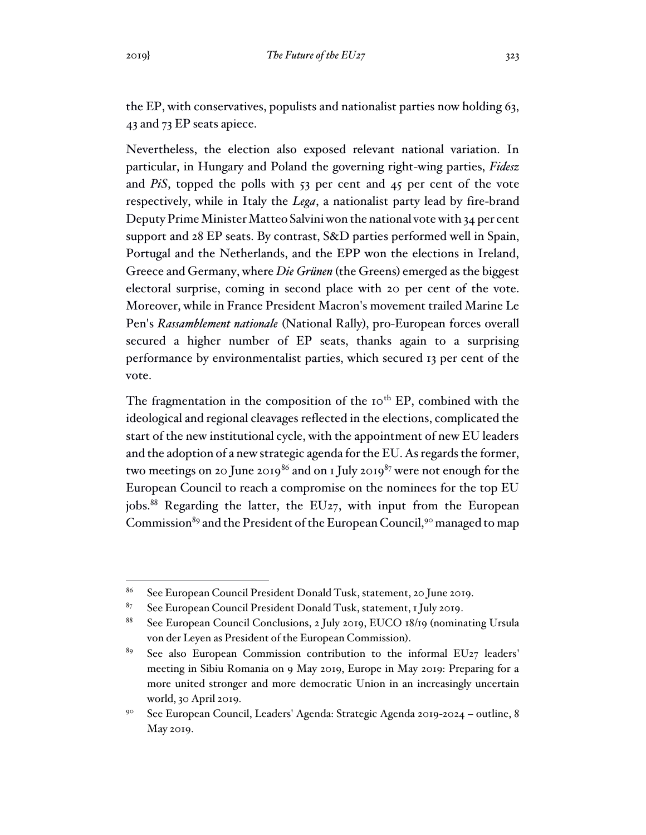the EP, with conservatives, populists and nationalist parties now holding 63, 43 and 73 EP seats apiece.

Nevertheless, the election also exposed relevant national variation. In particular, in Hungary and Poland the governing right-wing parties, *Fidesz* and *PiS*, topped the polls with 53 per cent and 45 per cent of the vote respectively, while in Italy the *Lega*, a nationalist party lead by fire-brand Deputy Prime Minister Matteo Salvini won the national vote with 34 per cent support and 28 EP seats. By contrast, S&D parties performed well in Spain, Portugal and the Netherlands, and the EPP won the elections in Ireland, Greece and Germany, where *Die Grünen* (the Greens) emerged as the biggest electoral surprise, coming in second place with 20 per cent of the vote. Moreover, while in France President Macron's movement trailed Marine Le Pen's *Rassamblement nationale* (National Rally), pro-European forces overall secured a higher number of EP seats, thanks again to a surprising performance by environmentalist parties, which secured 13 per cent of the vote.

The fragmentation in the composition of the  $10<sup>th</sup>$  EP, combined with the ideological and regional cleavages reflected in the elections, complicated the start of the new institutional cycle, with the appointment of new EU leaders and the adoption of a new strategic agenda for the EU. As regards the former, two meetings on 20 June 2019<sup>86</sup> and on 1 July 2019<sup>87</sup> were not enough for the European Council to reach a compromise on the nominees for the top EU jobs.<sup>88</sup> Regarding the latter, the EU<sub>27</sub>, with input from the European Commission<sup>89</sup> and the President of the European Council,<sup>90</sup> managed to map

<sup>86</sup> See European Council President Donald Tusk, statement, 20 June 2019.

<sup>87</sup> See European Council President Donald Tusk, statement, 1 July 2019.

<sup>88</sup> See European Council Conclusions, 2 July 2019, EUCO 18/19 (nominating Ursula von der Leyen as President of the European Commission).

<sup>&</sup>lt;sup>89</sup> See also European Commission contribution to the informal EU27 leaders' meeting in Sibiu Romania on 9 May 2019, Europe in May 2019: Preparing for a more united stronger and more democratic Union in an increasingly uncertain world, 30 April 2019.

<sup>90</sup> See European Council, Leaders' Agenda: Strategic Agenda 2019-2024 – outline, 8 May 2019.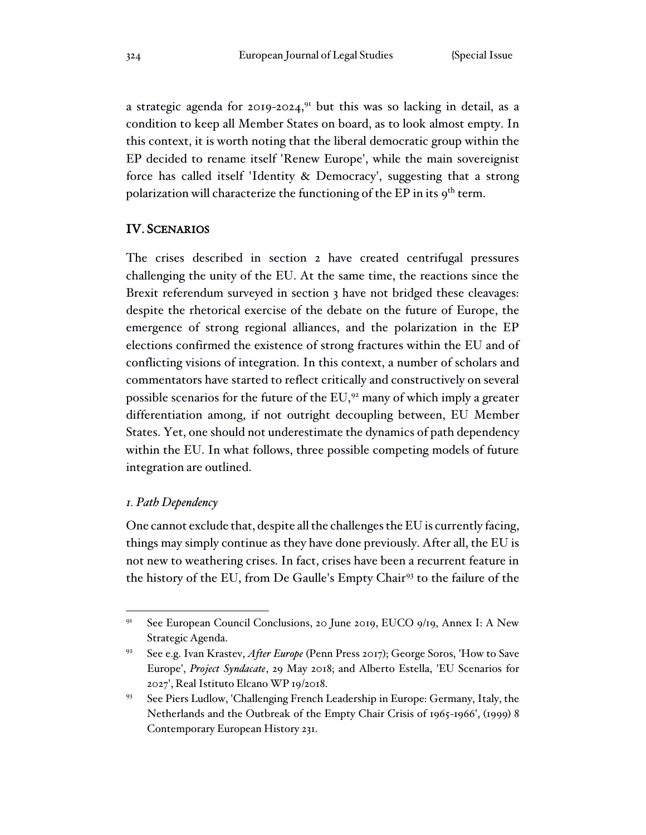a strategic agenda for 2019-2024,<sup>91</sup> but this was so lacking in detail, as a condition to keep all Member States on board, as to look almost empty. In this context, it is worth noting that the liberal democratic group within the EP decided to rename itself 'Renew Europe', while the main sovereignist force has called itself 'Identity & Democracy', suggesting that a strong polarization will characterize the functioning of the EP in its 9<sup>th</sup> term.

### IV. SCENARIOS

The crises described in section 2 have created centrifugal pressures challenging the unity of the EU. At the same time, the reactions since the Brexit referendum surveyed in section 3 have not bridged these cleavages: despite the rhetorical exercise of the debate on the future of Europe, the emergence of strong regional alliances, and the polarization in the EP elections confirmed the existence of strong fractures within the EU and of conflicting visions of integration. In this context, a number of scholars and commentators have started to reflect critically and constructively on several possible scenarios for the future of the  $EU<sub>2</sub><sup>92</sup>$  many of which imply a greater differentiation among, if not outright decoupling between, EU Member States. Yet, one should not underestimate the dynamics of path dependency within the EU. In what follows, three possible competing models of future integration are outlined.

#### *1. Path Dependency*

One cannot exclude that, despite all the challenges the EU is currently facing, things may simply continue as they have done previously. After all, the EU is not new to weathering crises. In fact, crises have been a recurrent feature in the history of the EU, from De Gaulle's Empty Chair<sup>93</sup> to the failure of the

<sup>91</sup> See European Council Conclusions, 20 June 2019, EUCO 9/19, Annex I: A New Strategic Agenda.

<sup>&</sup>lt;sup>92</sup> See e.g. Ivan Krastev, *After Europe* (Penn Press 2017); George Soros, 'How to Save Europe', *Project Syndacate*, 29 May 2018; and Alberto Estella, 'EU Scenarios for 2027', Real Istituto Elcano WP 19/2018.

<sup>93</sup> See Piers Ludlow, 'Challenging French Leadership in Europe: Germany, Italy, the Netherlands and the Outbreak of the Empty Chair Crisis of 1965-1966', (1999) 8 Contemporary European History 231.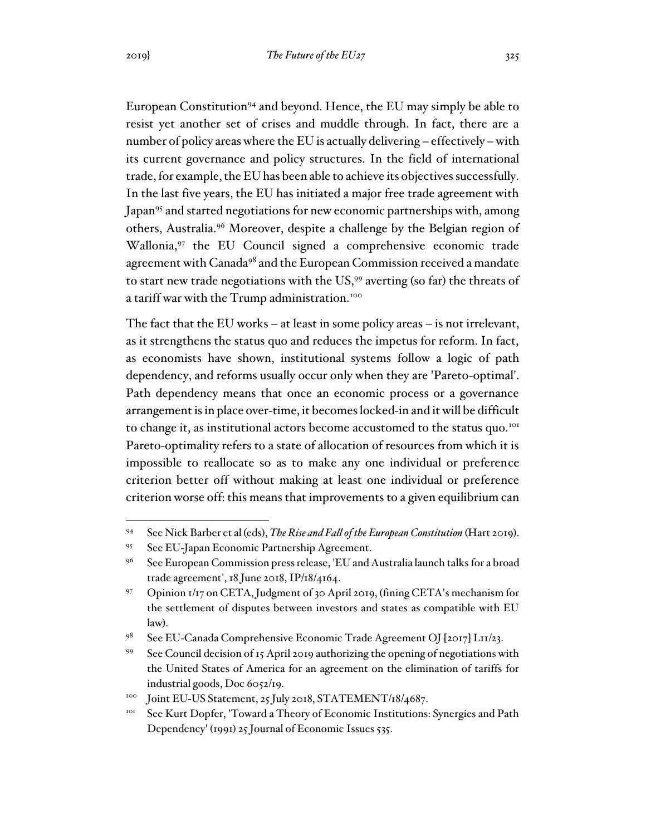European Constitution<sup>94</sup> and beyond. Hence, the EU may simply be able to resist yet another set of crises and muddle through. In fact, there are a number of policy areas where the EU is actually delivering – effectively –with its current governance and policy structures. In the field of international trade, for example, the EU has been able to achieve its objectives successfully. In the last five years, the EU has initiated a major free trade agreement with Japan<sup>95</sup> and started negotiations for new economic partnerships with, among others, Australia.<sup>96</sup> Moreover, despite a challenge by the Belgian region of Wallonia,<sup>97</sup> the EU Council signed a comprehensive economic trade agreement with Canada<sup>98</sup> and the European Commission received a mandate to start new trade negotiations with the US,<sup>99</sup> averting (so far) the threats of a tariff war with the Trump administration.<sup>100</sup>

The fact that the EU works – at least in some policy areas – is not irrelevant, as it strengthens the status quo and reduces the impetus for reform. In fact, as economists have shown, institutional systems follow a logic of path dependency, and reforms usually occur only when they are 'Pareto-optimal'. Path dependency means that once an economic process or a governance arrangement is in place over-time, it becomes locked-in and it will be difficult to change it, as institutional actors become accustomed to the status quo.<sup>101</sup> Pareto-optimality refers to a state of allocation of resources from which it is impossible to reallocate so as to make any one individual or preference criterion better off without making at least one individual or preference criterion worse off: this means that improvements to a given equilibrium can

<sup>94</sup> See Nick Barber et al (eds), *The Rise and Fall of the European Constitution* (Hart 2019).

<sup>95</sup> See EU-Japan Economic Partnership Agreement.

<sup>96</sup> See European Commission press release, 'EU and Australia launch talks for a broad trade agreement', 18 June 2018, IP/18/4164.

<sup>97</sup> Opinion 1/17 on CETA, Judgment of 30 April 2019, (fining CETA's mechanism for the settlement of disputes between investors and states as compatible with EU law).

<sup>98</sup> See EU-Canada Comprehensive Economic Trade Agreement OJ [2017] L11/23.

<sup>99</sup> See Council decision of 15 April 2019 authorizing the opening of negotiations with the United States of America for an agreement on the elimination of tariffs for industrial goods, Doc 6052/19.

<sup>&</sup>lt;sup>100</sup> Joint EU-US Statement, 25 July 2018, STATEMENT/18/4687.

<sup>&</sup>lt;sup>101</sup> See Kurt Dopfer, 'Toward a Theory of Economic Institutions: Synergies and Path Dependency' (1991) 25 Journal of Economic Issues 535.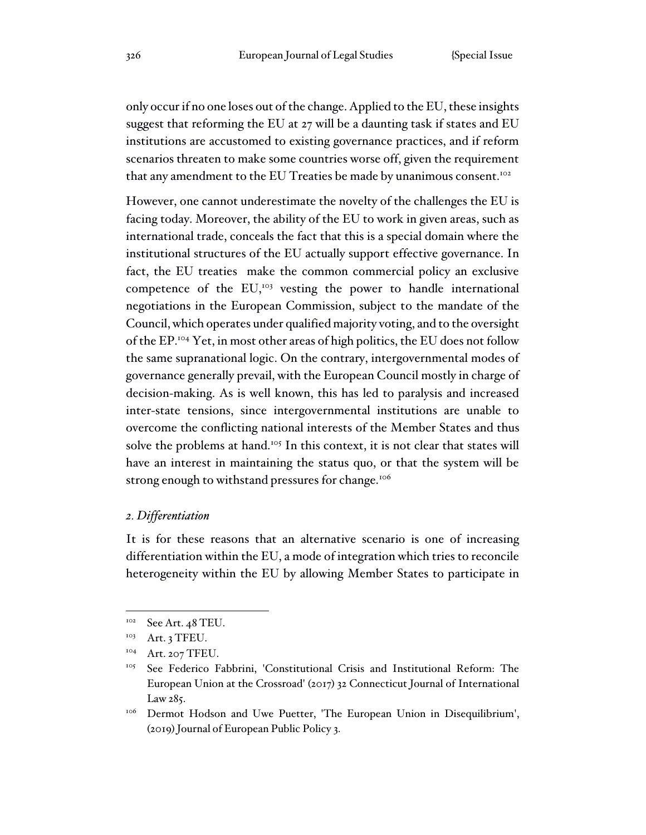only occur if no one loses out of the change. Applied to the EU, these insights suggest that reforming the EU at 27 will be a daunting task if states and EU institutions are accustomed to existing governance practices, and if reform scenarios threaten to make some countries worse off, given the requirement that any amendment to the EU Treaties be made by unanimous consent.<sup>102</sup>

However, one cannot underestimate the novelty of the challenges the EU is facing today. Moreover, the ability of the EU to work in given areas, such as international trade, conceals the fact that this is a special domain where the institutional structures of the EU actually support effective governance. In fact, the EU treaties make the common commercial policy an exclusive competence of the EU,<sup>103</sup> vesting the power to handle international negotiations in the European Commission, subject to the mandate of the Council, which operates under qualified majority voting, and to the oversight of the EP.<sup>104</sup> Yet, in most other areas of high politics, the EU does not follow the same supranational logic. On the contrary, intergovernmental modes of governance generally prevail, with the European Council mostly in charge of decision-making. As is well known, this has led to paralysis and increased inter-state tensions, since intergovernmental institutions are unable to overcome the conflicting national interests of the Member States and thus solve the problems at hand.<sup>105</sup> In this context, it is not clear that states will have an interest in maintaining the status quo, or that the system will be strong enough to withstand pressures for change.<sup>106</sup>

# *2. Differentiation*

It is for these reasons that an alternative scenario is one of increasing differentiation within the EU, a mode of integration which tries to reconcile heterogeneity within the EU by allowing Member States to participate in

 $^{102}$  See Art. 48 TEU.

<sup>&</sup>lt;sup>103</sup> Art. 3 TFEU.

<sup>&</sup>lt;sup>104</sup> Art. 207 TFEU.

<sup>105</sup> See Federico Fabbrini, 'Constitutional Crisis and Institutional Reform: The European Union at the Crossroad' (2017) 32 Connecticut Journal of International Law 285.

<sup>&</sup>lt;sup>106</sup> Dermot Hodson and Uwe Puetter, 'The European Union in Disequilibrium', (2019) Journal of European Public Policy 3.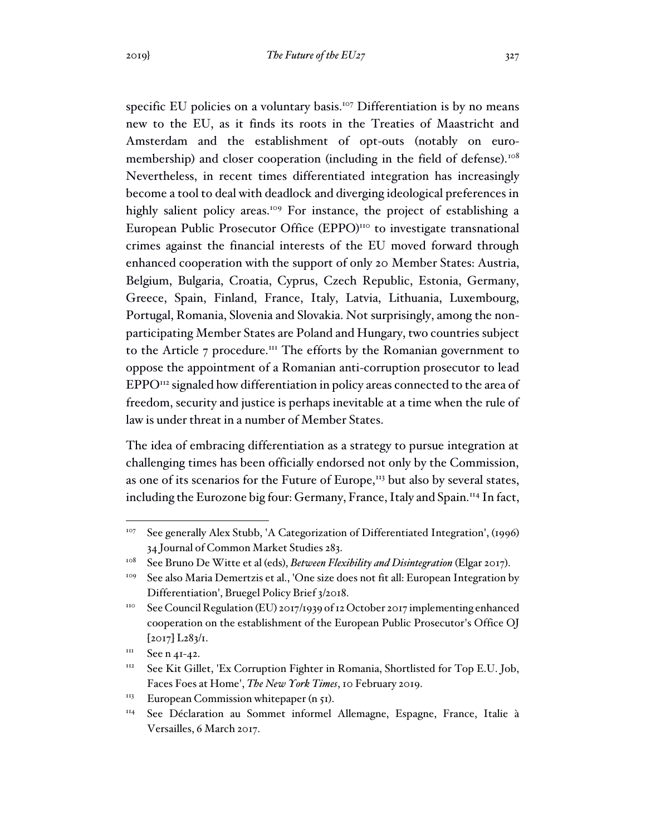specific EU policies on a voluntary basis.<sup>107</sup> Differentiation is by no means new to the EU, as it finds its roots in the Treaties of Maastricht and Amsterdam and the establishment of opt-outs (notably on euromembership) and closer cooperation (including in the field of defense).<sup>108</sup> Nevertheless, in recent times differentiated integration has increasingly become a tool to deal with deadlock and diverging ideological preferences in highly salient policy areas.<sup>109</sup> For instance, the project of establishing a European Public Prosecutor Office (EPPO)<sup>110</sup> to investigate transnational crimes against the financial interests of the EU moved forward through enhanced cooperation with the support of only 20 Member States: Austria, Belgium, Bulgaria, Croatia, Cyprus, Czech Republic, Estonia, Germany, Greece, Spain, Finland, France, Italy, Latvia, Lithuania, Luxembourg, Portugal, Romania, Slovenia and Slovakia. Not surprisingly, among the nonparticipating Member States are Poland and Hungary, two countries subject to the Article 7 procedure.<sup>111</sup> The efforts by the Romanian government to oppose the appointment of a Romanian anti-corruption prosecutor to lead EPPO<sup>112</sup> signaled how differentiation in policy areas connected to the area of freedom, security and justice is perhaps inevitable at a time when the rule of law is under threat in a number of Member States.

The idea of embracing differentiation as a strategy to pursue integration at challenging times has been officially endorsed not only by the Commission, as one of its scenarios for the Future of Europe, $113$  but also by several states, including the Eurozone big four: Germany, France, Italy and Spain.<sup>114</sup> In fact,

<sup>&</sup>lt;sup>107</sup> See generally Alex Stubb, 'A Categorization of Differentiated Integration', (1996) 34 Journal of Common Market Studies 283.

<sup>108</sup> See Bruno De Witte et al (eds), *Between Flexibility and Disintegration* (Elgar 2017).

<sup>&</sup>lt;sup>109</sup> See also Maria Demertzis et al., 'One size does not fit all: European Integration by Differentiation', Bruegel Policy Brief 3/2018.

<sup>&</sup>lt;sup>110</sup> See Council Regulation (EU) 2017/1939 of 12 October 2017 implementing enhanced cooperation on the establishment of the European Public Prosecutor's Office OJ [2017] L283/1.

 $111$  See n 41-42.

<sup>&</sup>lt;sup>112</sup> See Kit Gillet, 'Ex Corruption Fighter in Romania, Shortlisted for Top E.U. Job, Faces Foes at Home', *The New York Times*, 10 February 2019.

 $113$  European Commission white paper (n 51).

<sup>114</sup> See Déclaration au Sommet informel Allemagne, Espagne, France, Italie à Versailles, 6 March 2017.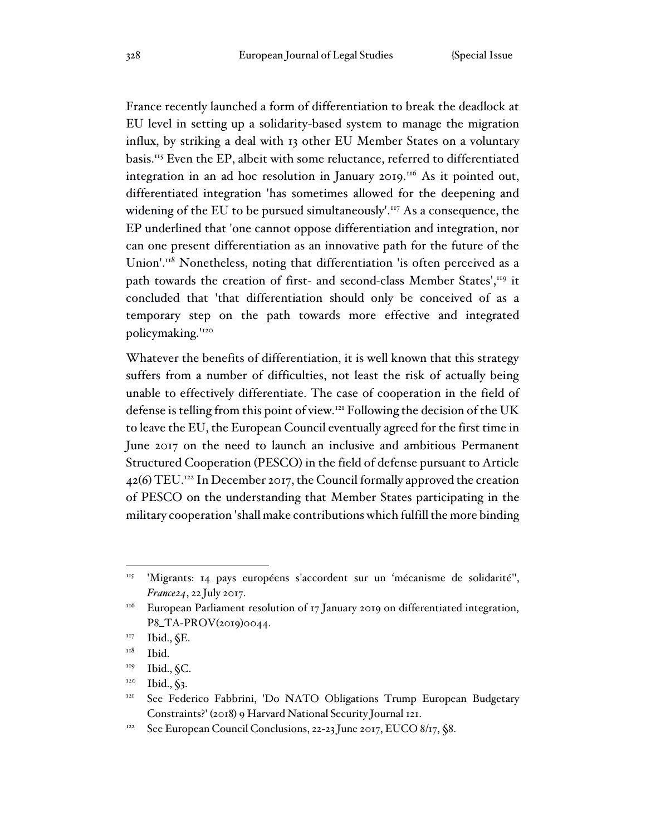France recently launched a form of differentiation to break the deadlock at EU level in setting up a solidarity-based system to manage the migration influx, by striking a deal with 13 other EU Member States on a voluntary basis.<sup>115</sup> Even the EP, albeit with some reluctance, referred to differentiated integration in an ad hoc resolution in January 2019.<sup>116</sup> As it pointed out, differentiated integration 'has sometimes allowed for the deepening and widening of the EU to be pursued simultaneously'.<sup>117</sup> As a consequence, the EP underlined that 'one cannot oppose differentiation and integration, nor can one present differentiation as an innovative path for the future of the Union'.<sup>118</sup> Nonetheless, noting that differentiation 'is often perceived as a path towards the creation of first- and second-class Member States',<sup>119</sup> it concluded that 'that differentiation should only be conceived of as a temporary step on the path towards more effective and integrated policymaking.'<sup>120</sup>

Whatever the benefits of differentiation, it is well known that this strategy suffers from a number of difficulties, not least the risk of actually being unable to effectively differentiate. The case of cooperation in the field of defense is telling from this point of view.<sup>121</sup> Following the decision of the UK to leave the EU, the European Council eventually agreed for the first time in June 2017 on the need to launch an inclusive and ambitious Permanent Structured Cooperation (PESCO) in the field of defense pursuant to Article  $42(6)$  TEU.<sup>122</sup> In December 2017, the Council formally approved the creation of PESCO on the understanding that Member States participating in the military cooperation 'shall make contributions which fulfill the more binding

<sup>115</sup> 'Migrants: 14 pays européens s'accordent sur un 'mécanisme de solidarité'', *France24*, 22 July 2017.

 $1116$  European Parliament resolution of 17 January 2019 on differentiated integration, P8\_TA-PROV(2019)0044.

 $117$  Ibid.,  $E$ .

<sup>&</sup>lt;sup>118</sup> Ibid.

 $119$  Ibid.,  $\zeta$ C.

 $120$  Ibid.,  $\sqrt[6]{3}$ .

<sup>121</sup> See Federico Fabbrini, 'Do NATO Obligations Trump European Budgetary Constraints?' (2018) 9 Harvard National Security Journal 121.

<sup>&</sup>lt;sup>122</sup> See European Council Conclusions, 22-23 June 2017, EUCO 8/17, §8.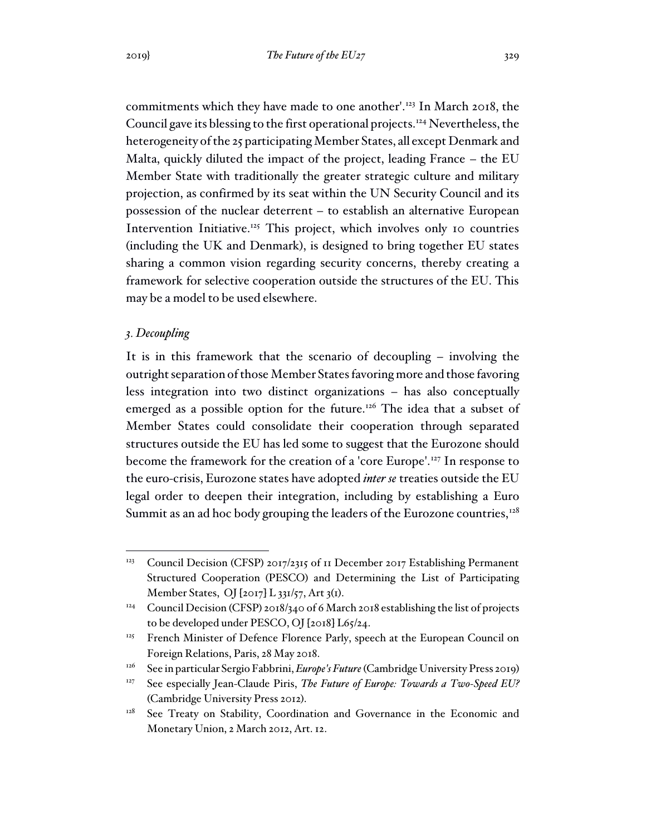commitments which they have made to one another'.<sup>123</sup> In March 2018, the Council gave its blessing to the first operational projects.<sup>124</sup> Nevertheless, the heterogeneity of the 25 participating Member States, all except Denmark and Malta, quickly diluted the impact of the project, leading France – the EU Member State with traditionally the greater strategic culture and military projection, as confirmed by its seat within the UN Security Council and its possession of the nuclear deterrent – to establish an alternative European Intervention Initiative.<sup>125</sup> This project, which involves only 10 countries (including the UK and Denmark), is designed to bring together EU states sharing a common vision regarding security concerns, thereby creating a framework for selective cooperation outside the structures of the EU. This may be a model to be used elsewhere.

### *3. Decoupling*

It is in this framework that the scenario of decoupling – involving the outright separation of those Member States favoring more and those favoring less integration into two distinct organizations – has also conceptually emerged as a possible option for the future.<sup>126</sup> The idea that a subset of Member States could consolidate their cooperation through separated structures outside the EU has led some to suggest that the Eurozone should become the framework for the creation of a 'core Europe'.<sup>127</sup> In response to the euro-crisis, Eurozone states have adopted *inter se* treaties outside the EU legal order to deepen their integration, including by establishing a Euro Summit as an ad hoc body grouping the leaders of the Eurozone countries, $128$ 

<sup>&</sup>lt;sup>123</sup> Council Decision (CFSP) 2017/2315 of 11 December 2017 Establishing Permanent Structured Cooperation (PESCO) and Determining the List of Participating Member States, OJ [2017] L 331/57, Art 3(1).

<sup>&</sup>lt;sup>124</sup> Council Decision (CFSP) 2018/340 of 6 March 2018 establishing the list of projects to be developed under PESCO, OJ [2018] L65/24.

<sup>&</sup>lt;sup>125</sup> French Minister of Defence Florence Parly, speech at the European Council on Foreign Relations, Paris, 28 May 2018.

<sup>&</sup>lt;sup>126</sup> See in particular Sergio Fabbrini, *Europe's Future* (Cambridge University Press 2019)

<sup>&</sup>lt;sup>127</sup> See especially Jean-Claude Piris, *The Future of Europe: Towards a Two-Speed EU?* (Cambridge University Press 2012).

<sup>&</sup>lt;sup>128</sup> See Treaty on Stability, Coordination and Governance in the Economic and Monetary Union, 2 March 2012, Art. 12.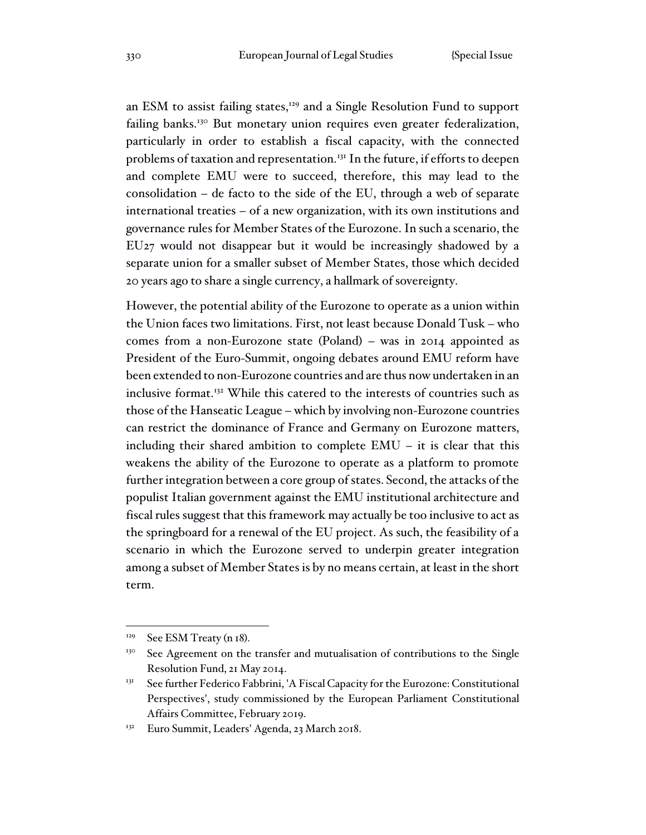an ESM to assist failing states,<sup>129</sup> and a Single Resolution Fund to support failing banks.<sup>130</sup> But monetary union requires even greater federalization, particularly in order to establish a fiscal capacity, with the connected problems of taxation and representation.<sup>131</sup> In the future, if efforts to deepen and complete EMU were to succeed, therefore, this may lead to the consolidation – de facto to the side of the EU, through a web of separate international treaties – of a new organization, with its own institutions and governance rules for Member States of the Eurozone. In such a scenario, the EU27 would not disappear but it would be increasingly shadowed by a separate union for a smaller subset of Member States, those which decided 20 years ago to share a single currency, a hallmark of sovereignty.

However, the potential ability of the Eurozone to operate as a union within the Union faces two limitations. First, not least because Donald Tusk – who comes from a non-Eurozone state (Poland) – was in 2014 appointed as President of the Euro-Summit, ongoing debates around EMU reform have been extended to non-Eurozone countries and are thus now undertaken in an inclusive format.<sup>132</sup> While this catered to the interests of countries such as those of the Hanseatic League – which by involving non-Eurozone countries can restrict the dominance of France and Germany on Eurozone matters, including their shared ambition to complete EMU – it is clear that this weakens the ability of the Eurozone to operate as a platform to promote further integration between a core group of states. Second, the attacks of the populist Italian government against the EMU institutional architecture and fiscal rules suggest that this framework may actually be too inclusive to act as the springboard for a renewal of the EU project. As such, the feasibility of a scenario in which the Eurozone served to underpin greater integration among a subset of Member States is by no means certain, at least in the short term.

 $129$  See ESM Treaty (n 18).

<sup>&</sup>lt;sup>130</sup> See Agreement on the transfer and mutualisation of contributions to the Single Resolution Fund, 21 May 2014.

<sup>&</sup>lt;sup>131</sup> See further Federico Fabbrini, 'A Fiscal Capacity for the Eurozone: Constitutional Perspectives', study commissioned by the European Parliament Constitutional Affairs Committee, February 2019.

<sup>132</sup> Euro Summit, Leaders' Agenda, 23 March 2018.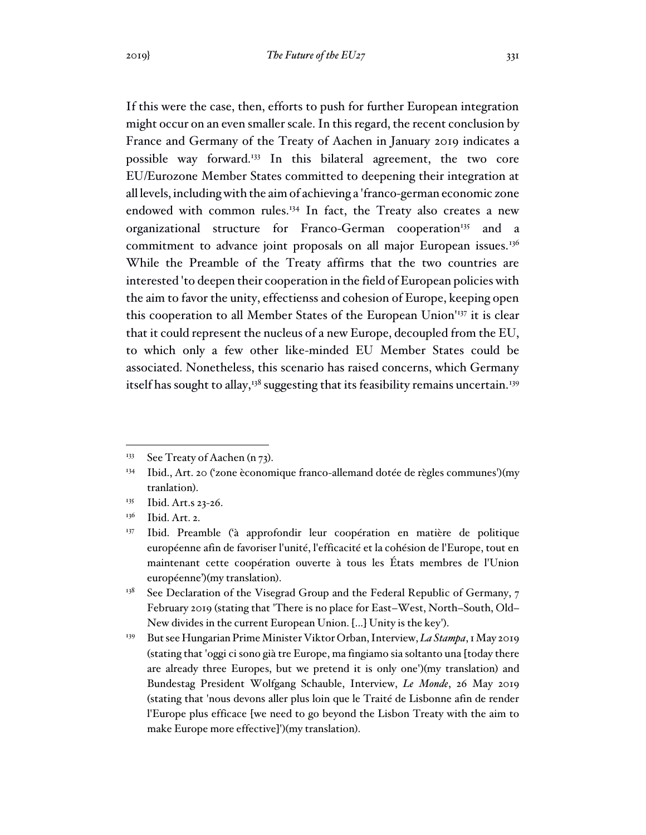If this were the case, then, efforts to push for further European integration might occur on an even smaller scale. In this regard, the recent conclusion by France and Germany of the Treaty of Aachen in January 2019 indicates a possible way forward.<sup>133</sup> In this bilateral agreement, the two core EU/Eurozone Member States committed to deepening their integration at all levels, including with the aim of achieving a 'franco-german economic zone endowed with common rules.<sup>134</sup> In fact, the Treaty also creates a new organizational structure for Franco-German cooperation<sup>135</sup> and a commitment to advance joint proposals on all major European issues.<sup>136</sup> While the Preamble of the Treaty affirms that the two countries are interested 'to deepen their cooperation in the field of European policies with the aim to favor the unity, effectienss and cohesion of Europe, keeping open this cooperation to all Member States of the European Union'<sup>137</sup> it is clear that it could represent the nucleus of a new Europe, decoupled from the EU, to which only a few other like-minded EU Member States could be associated. Nonetheless, this scenario has raised concerns, which Germany

itself has sought to allay,<sup>138</sup> suggesting that its feasibility remains uncertain.<sup>139</sup>

<sup>&</sup>lt;sup>133</sup> See Treaty of Aachen (n  $73$ ).

<sup>134</sup> Ibid., Art. 20 ('zone èconomique franco-allemand dotée de règles communes')(my tranlation).

<sup>135</sup> Ibid. Art.s 23-26.

<sup>&</sup>lt;sup>136</sup> Ibid. Art. 2.

<sup>&</sup>lt;sup>137</sup> Ibid. Preamble ('à approfondir leur coopération en matière de politique européenne afin de favoriser l'unité, l'efficacité et la cohésion de l'Europe, tout en maintenant cette coopération ouverte à tous les États membres de l'Union européenne')(my translation).

 $138$  See Declaration of the Visegrad Group and the Federal Republic of Germany, 7 February 2019 (stating that 'There is no place for East–West, North–South, Old– New divides in the current European Union. [...] Unity is the key').

<sup>&</sup>lt;sup>139</sup> But see Hungarian Prime Minister Viktor Orban, Interview, *La Stampa*, 1 May 2019 (stating that 'oggi ci sono già tre Europe, ma fingiamo sia soltanto una [today there are already three Europes, but we pretend it is only one')(my translation) and Bundestag President Wolfgang Schauble, Interview, *Le Monde*, 26 May 2019 (stating that 'nous devons aller plus loin que le Traité de Lisbonne afin de render l'Europe plus efficace [we need to go beyond the Lisbon Treaty with the aim to make Europe more effective]')(my translation).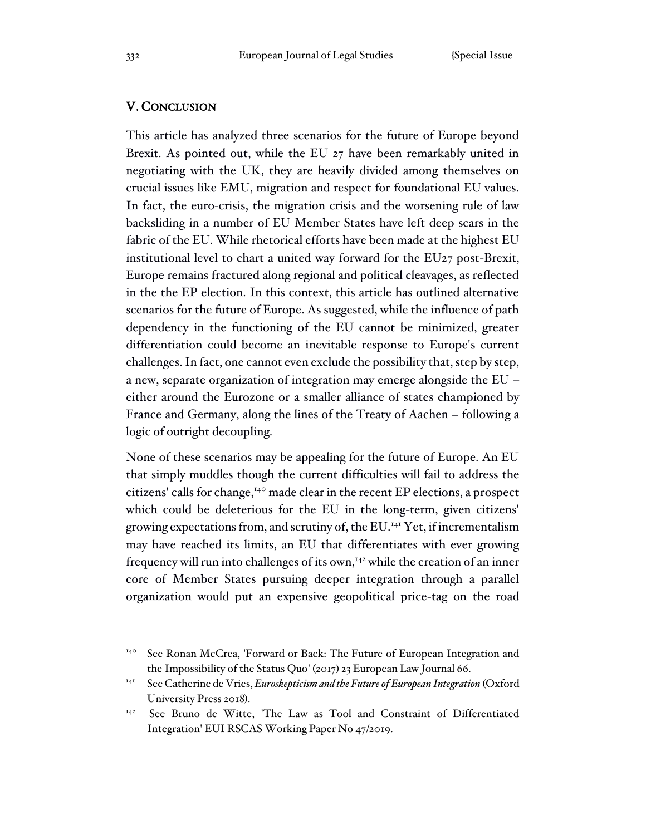## V. CONCLUSION

This article has analyzed three scenarios for the future of Europe beyond Brexit. As pointed out, while the EU 27 have been remarkably united in negotiating with the UK, they are heavily divided among themselves on crucial issues like EMU, migration and respect for foundational EU values. In fact, the euro-crisis, the migration crisis and the worsening rule of law backsliding in a number of EU Member States have left deep scars in the fabric of the EU. While rhetorical efforts have been made at the highest EU institutional level to chart a united way forward for the EU27 post-Brexit, Europe remains fractured along regional and political cleavages, as reflected in the the EP election. In this context, this article has outlined alternative scenarios for the future of Europe. As suggested, while the influence of path dependency in the functioning of the EU cannot be minimized, greater differentiation could become an inevitable response to Europe's current challenges. In fact, one cannot even exclude the possibility that, step by step, a new, separate organization of integration may emerge alongside the EU – either around the Eurozone or a smaller alliance of states championed by France and Germany, along the lines of the Treaty of Aachen – following a logic of outright decoupling.

None of these scenarios may be appealing for the future of Europe. An EU that simply muddles though the current difficulties will fail to address the citizens' calls for change,<sup>140</sup> made clear in the recent EP elections, a prospect which could be deleterious for the EU in the long-term, given citizens' growing expectations from, and scrutiny of, the EU.<sup>141</sup> Yet, if incrementalism may have reached its limits, an EU that differentiates with ever growing frequency will run into challenges of its own,<sup>142</sup> while the creation of an inner core of Member States pursuing deeper integration through a parallel organization would put an expensive geopolitical price-tag on the road

<sup>140</sup> See Ronan McCrea, 'Forward or Back: The Future of European Integration and the Impossibility of the Status Quo' (2017) 23 European Law Journal 66.

<sup>141</sup> See Catherine de Vries, *Euroskepticism and the Future of European Integration* (Oxford University Press 2018).

<sup>142</sup> See Bruno de Witte, 'The Law as Tool and Constraint of Differentiated Integration' EUI RSCAS Working Paper No 47/2019.